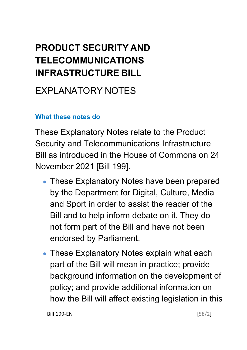# **PRODUCT SECURITY AND TELECOMMUNICATIONS INFRASTRUCTURE BILL**

## EXPLANATORY NOTES

#### **What these notes do**

- These Explanatory Notes have been prepared by the Department for Digital, Culture, Media and Sport in order to assist the reader of the Bill and to help inform debate on it. They do not form part of the Bill and have not been endorsed by Parliament.
- These Explanatory Notes explain what each part of the Bill will mean in practice; provide background information on the development of policy; and provide additional information on how the Bill will affect existing legislation in this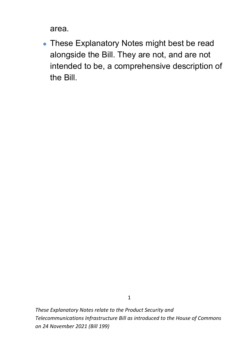area.

• These Explanatory Notes might best be read alongside the Bill. They are not, and are not intended to be, a comprehensive description of the Bill.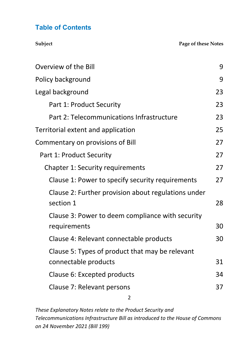#### **Table of Contents**

**Subject Page of these Notes** 

| <b>Overview of the Bill</b>                         | 9  |
|-----------------------------------------------------|----|
| Policy background                                   | 9  |
| Legal background                                    | 23 |
| Part 1: Product Security                            | 23 |
| Part 2: Telecommunications Infrastructure           | 23 |
| Territorial extent and application                  | 25 |
| Commentary on provisions of Bill                    | 27 |
| Part 1: Product Security                            | 27 |
| <b>Chapter 1: Security requirements</b>             | 27 |
| Clause 1: Power to specify security requirements    | 27 |
| Clause 2: Further provision about regulations under |    |
| section 1                                           | 28 |
| Clause 3: Power to deem compliance with security    |    |
| requirements                                        | 30 |
| Clause 4: Relevant connectable products             | 30 |
| Clause 5: Types of product that may be relevant     |    |
| connectable products                                | 31 |
| Clause 6: Excepted products                         | 34 |
| Clause 7: Relevant persons                          | 37 |
| 2                                                   |    |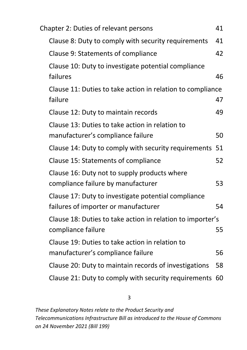| <b>Chapter 2: Duties of relevant persons</b>               | 41 |
|------------------------------------------------------------|----|
| Clause 8: Duty to comply with security requirements        | 41 |
| Clause 9: Statements of compliance                         | 42 |
| Clause 10: Duty to investigate potential compliance        |    |
| failures                                                   | 46 |
| Clause 11: Duties to take action in relation to compliance |    |
| failure                                                    | 47 |
| Clause 12: Duty to maintain records                        | 49 |
| Clause 13: Duties to take action in relation to            |    |
| manufacturer's compliance failure                          | 50 |
| Clause 14: Duty to comply with security requirements 51    |    |
| Clause 15: Statements of compliance                        | 52 |
| Clause 16: Duty not to supply products where               |    |
| compliance failure by manufacturer                         | 53 |
| Clause 17: Duty to investigate potential compliance        |    |
| failures of importer or manufacturer                       | 54 |
| Clause 18: Duties to take action in relation to importer's |    |
| compliance failure                                         | 55 |
| Clause 19: Duties to take action in relation to            |    |
| manufacturer's compliance failure                          | 56 |
| Clause 20: Duty to maintain records of investigations      | 58 |
| Clause 21: Duty to comply with security requirements       | 60 |

3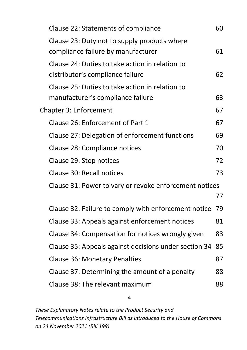| Clause 22: Statements of compliance                     | 60 |
|---------------------------------------------------------|----|
| Clause 23: Duty not to supply products where            |    |
| compliance failure by manufacturer                      | 61 |
| Clause 24: Duties to take action in relation to         |    |
| distributor's compliance failure                        | 62 |
| Clause 25: Duties to take action in relation to         |    |
| manufacturer's compliance failure                       | 63 |
| <b>Chapter 3: Enforcement</b>                           | 67 |
| Clause 26: Enforcement of Part 1                        | 67 |
| Clause 27: Delegation of enforcement functions          | 69 |
| Clause 28: Compliance notices                           | 70 |
| Clause 29: Stop notices                                 | 72 |
| Clause 30: Recall notices                               | 73 |
| Clause 31: Power to vary or revoke enforcement notices  |    |
|                                                         | 77 |
| Clause 32: Failure to comply with enforcement notice 79 |    |
| Clause 33: Appeals against enforcement notices          | 81 |
| Clause 34: Compensation for notices wrongly given       | 83 |
| Clause 35: Appeals against decisions under section 34   | 85 |
| <b>Clause 36: Monetary Penalties</b>                    | 87 |
| Clause 37: Determining the amount of a penalty          | 88 |
| Clause 38: The relevant maximum                         | 88 |
|                                                         |    |

4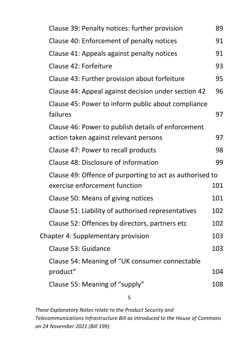| Clause 39: Penalty notices: further provision                  | 89  |
|----------------------------------------------------------------|-----|
| Clause 40: Enforcement of penalty notices                      | 91  |
| Clause 41: Appeals against penalty notices                     | 91  |
| Clause 42: Forfeiture                                          | 93  |
| Clause 43: Further provision about forfeiture                  | 95  |
| Clause 44: Appeal against decision under section 42            | 96  |
| Clause 45: Power to inform public about compliance<br>failures | 97  |
| Clause 46: Power to publish details of enforcement             |     |
| action taken against relevant persons                          | 97  |
| Clause 47: Power to recall products                            | 98  |
| Clause 48: Disclosure of information                           | 99  |
| Clause 49: Offence of purporting to act as authorised to       |     |
| exercise enforcement function                                  | 101 |
| Clause 50: Means of giving notices                             | 101 |
| Clause 51: Liability of authorised representatives             | 102 |
| Clause 52: Offences by directors, partners etc                 | 102 |
| <b>Chapter 4: Supplementary provision</b>                      | 103 |
| Clause 53: Guidance                                            | 103 |
| Clause 54: Meaning of "UK consumer connectable                 |     |
| product"                                                       | 104 |
| Clause 55: Meaning of "supply"                                 | 108 |
| 5                                                              |     |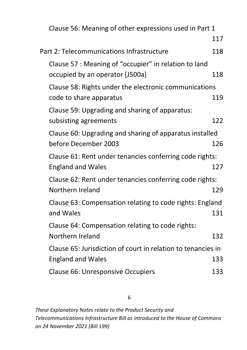| Clause 56: Meaning of other expressions used in Part 1       |     |
|--------------------------------------------------------------|-----|
|                                                              | 117 |
| Part 2: Telecommunications Infrastructure                    | 118 |
| Clause 57 : Meaning of "occupier" in relation to land        |     |
| occupied by an operator [J500a]                              | 118 |
| Clause 58: Rights under the electronic communications        |     |
| code to share apparatus                                      | 119 |
| Clause 59: Upgrading and sharing of apparatus:               |     |
| subsisting agreements                                        | 122 |
| Clause 60: Upgrading and sharing of apparatus installed      |     |
| before December 2003                                         | 126 |
| Clause 61: Rent under tenancies conferring code rights:      |     |
| <b>England and Wales</b>                                     | 127 |
| Clause 62: Rent under tenancies conferring code rights:      |     |
| Northern Ireland                                             | 129 |
| Clause 63: Compensation relating to code rights: England     |     |
| and Wales                                                    | 131 |
| Clause 64: Compensation relating to code rights:             |     |
| Northern Ireland                                             | 132 |
| Clause 65: Jurisdiction of court in relation to tenancies in |     |
| <b>England and Wales</b>                                     | 133 |
| <b>Clause 66: Unresponsive Occupiers</b>                     | 133 |

6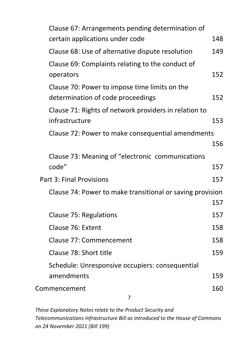| Clause 67: Arrangements pending determination of          |     |
|-----------------------------------------------------------|-----|
| certain applications under code                           | 148 |
| Clause 68: Use of alternative dispute resolution          | 149 |
| Clause 69: Complaints relating to the conduct of          |     |
| operators                                                 | 152 |
| Clause 70: Power to impose time limits on the             |     |
| determination of code proceedings                         | 152 |
| Clause 71: Rights of network providers in relation to     |     |
| infrastructure                                            | 153 |
| Clause 72: Power to make consequential amendments         |     |
|                                                           | 156 |
| Clause 73: Meaning of "electronic communications"         |     |
| code"                                                     | 157 |
| Part 3: Final Provisions                                  | 157 |
| Clause 74: Power to make transitional or saving provision |     |
|                                                           | 157 |
| Clause 75: Regulations                                    | 157 |
| Clause 76: Extent                                         | 158 |
| Clause 77: Commencement                                   | 158 |
| Clause 78: Short title                                    | 159 |
| Schedule: Unresponsive occupiers: consequential           |     |
| amendments                                                | 159 |
| Commencement                                              | 160 |
| 7                                                         |     |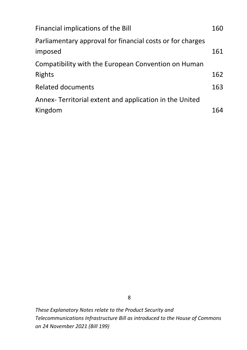| Financial implications of the Bill                                   | 160 |
|----------------------------------------------------------------------|-----|
| Parliamentary approval for financial costs or for charges<br>imposed | 161 |
| Compatibility with the European Convention on Human                  |     |
| <b>Rights</b>                                                        | 162 |
| <b>Related documents</b>                                             | 163 |
| Annex-Territorial extent and application in the United               |     |
| Kingdom                                                              | 164 |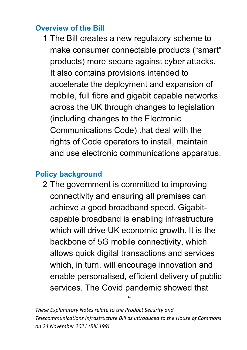#### <span id="page-9-0"></span>**Overview of the Bill**

1 The Bill creates a new regulatory scheme to make consumer connectable products ("smart" products) more secure against cyber attacks. It also contains provisions intended to accelerate the deployment and expansion of mobile, full fibre and gigabit capable networks across the UK through changes to legislation (including changes to the Electronic Communications Code) that deal with the rights of Code operators to install, maintain and use electronic communications apparatus.

### <span id="page-9-1"></span>**Policy background**

2 The government is committed to improving connectivity and ensuring all premises can achieve a good broadband speed. Gigabitcapable broadband is enabling infrastructure which will drive UK economic growth. It is the backbone of 5G mobile connectivity, which allows quick digital transactions and services which, in turn, will encourage innovation and enable personalised, efficient delivery of public services. The Covid pandemic showed that

9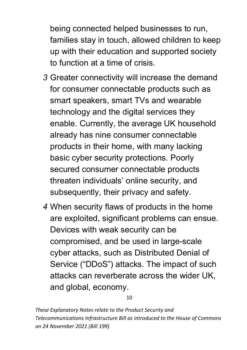being connected helped businesses to run, families stay in touch, allowed children to keep up with their education and supported society to function at a time of crisis.

- *3* Greater connectivity will increase the demand for consumer connectable products such as smart speakers, smart TVs and wearable technology and the digital services they enable. Currently, the average UK household already has nine consumer connectable products in their home, with many lacking basic cyber security protections. Poorly secured consumer connectable products threaten individuals' online security, and subsequently, their privacy and safety.
- *4* When security flaws of products in the home are exploited, significant problems can ensue. Devices with weak security can be compromised, and be used in large-scale cyber attacks, such as Distributed Denial of Service ("DDoS") attacks. The impact of such attacks can reverberate across the wider UK, and global, economy.

10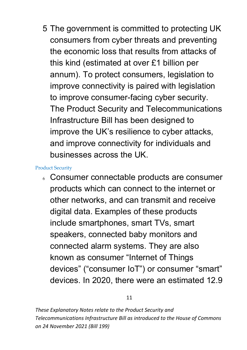5 The government is committed to protecting UK consumers from cyber threats and preventing the economic loss that results from attacks of this kind (estimated at over £1 billion per annum). To protect consumers, legislation to improve connectivity is paired with legislation to improve consumer-facing cyber security. The Product Security and Telecommunications Infrastructure Bill has been designed to improve the UK's resilience to cyber attacks, and improve connectivity for individuals and businesses across the UK.

#### Product Security

<sup>6</sup>Consumer connectable products are consumer products which can connect to the internet or other networks, and can transmit and receive digital data. Examples of these products include smartphones, smart TVs, smart speakers, connected baby monitors and connected alarm systems. They are also known as consumer "Internet of Things devices" ("consumer IoT") or consumer "smart" devices. In 2020, there were an estimated 12.9

11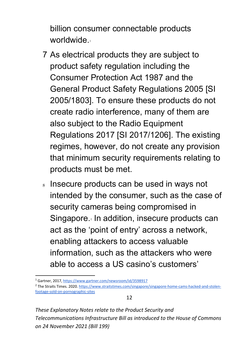billion consumer connectable products worldwide.

- 7 As electrical products they are subject to product safety regulation including the Consumer Protection Act 1987 and the General Product Safety Regulations 2005 [SI 2005/1803]. To ensure these products do not create radio interference, many of them are also subject to the Radio Equipment Regulations 2017 [SI 2017/1206]. The existing regimes, however, do not create any provision that minimum security requirements relating to products must be met.
- s Insecure products can be used in ways not intended by the consumer, such as the case of security cameras being compromised in Singapore.<sup>[2](#page-12-1)</sup> In addition, insecure products can act as the 'point of entry' across a network, enabling attackers to access valuable information, such as the attackers who were able to access a US casino's customers'

<span id="page-12-0"></span><sup>1</sup> Gartner, 2017[, https://www.gartner.com/newsroom/id/3598917](https://www.gartner.com/newsroom/id/3598917)

<span id="page-12-1"></span><sup>&</sup>lt;sup>2</sup> The Straits Times. 2020. [https://www.straitstimes.com/singapore/singapore-home-cams-hacked-and-stolen](https://www.straitstimes.com/singapore/singapore-home-cams-hacked-and-stolen-footage-sold-on-pornographic-sites)[footage-sold-on-pornographic-sites](https://www.straitstimes.com/singapore/singapore-home-cams-hacked-and-stolen-footage-sold-on-pornographic-sites)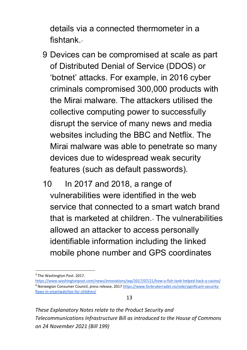details via a connected thermometer in a fishtank<sup>[3](#page-13-0)</sup>

- 9 Devices can be compromised at scale as part of Distributed Denial of Service (DDOS) or 'botnet' attacks. For example, in 2016 cyber criminals compromised 300,000 products with the Mirai malware. The attackers utilised the collective computing power to successfully disrupt the service of many news and media websites including the BBC and Netflix. The Mirai malware was able to penetrate so many devices due to widespread weak security features (such as default passwords).
- 10 In 2017 and 2018, a range of vulnerabilities were identified in the web service that connected to a smart watch brand that is marketed at children.[4](#page-13-1) The vulnerabilities allowed an attacker to access personally identifiable information including the linked mobile phone number and GPS coordinates

<span id="page-13-0"></span> $3$  The Washington Post. 2017.

<span id="page-13-1"></span><https://www.washingtonpost.com/news/innovations/wp/2017/07/21/how-a-fish-tank-helped-hack-a-casino/> <sup>4</sup> Norwegian Consumer Council, press release, 201[7 https://www.forbrukerradet.no/side/significant-security](https://www.forbrukerradet.no/side/significant-security-flaws-in-smartwatches-for-children/)[flaws-in-smartwatches-for-children/](https://www.forbrukerradet.no/side/significant-security-flaws-in-smartwatches-for-children/)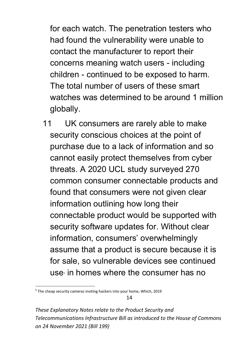for each watch. The penetration testers who had found the vulnerability were unable to contact the manufacturer to report their concerns meaning watch users - including children - continued to be exposed to harm. The total number of users of these smart watches was determined to be around 1 million globally.

11 UK consumers are rarely able to make security conscious choices at the point of purchase due to a lack of information and so cannot easily protect themselves from cyber threats. A 2020 UCL study surveyed 270 common consumer connectable products and found that consumers were not given clear information outlining how long their connectable product would be supported with security software updates for. Without clear information, consumers' overwhelmingly assume that a product is secure because it is for sale, so vulnerable devices see continued  $use<sub>s</sub>$  in homes where the consumer has no

<span id="page-14-0"></span><sup>&</sup>lt;sup>5</sup> The cheap security cameras inviting hackers into your home, Which, 2019

*These Explanatory Notes relate to the Product Security and Telecommunications Infrastructure Bill as introduced to the House of Commons on 24 November 2021 (Bill 199)*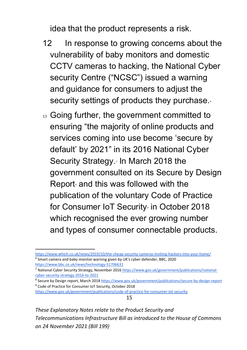idea that the product represents a risk.

- 12 In response to growing concerns about the vulnerability of baby monitors and domestic CCTV cameras to hacking, the National Cyber security Centre ("NCSC") issued a warning and guidance for consumers to adjust the security settings of products they purchase.
- 13 Going further, the government committed to ensuring "the majority of online products and services coming into use become 'secure by default' by 2021" in its 2016 National Cyber Security Strategy.<sub>[7](#page-15-1)</sub> In March 2018 the government consulted on its Secure by Design Report and this was followed with the publication of the voluntary Code of Practice for Consumer IoT Security<sub>[9](#page-15-3)</sub> in October 2018 which recognised the ever growing number and types of consumer connectable products.

<span id="page-15-3"></span><span id="page-15-2"></span><sup>8</sup> Secure by Design report, March 2018<https://www.gov.uk/government/publications/secure-by-design-report> <sup>9</sup> Code of Practice for Consumer IoT Security, October 2018

<https://www.gov.uk/government/publications/code-of-practice-for-consumer-iot-security>

15

<span id="page-15-0"></span><https://www.which.co.uk/news/2019/10/the-cheap-security-cameras-inviting-hackers-into-your-home/>  $6$  Smart camera and baby monitor warning given by UK's cyber-defender, BBC, 2020 <https://www.bbc.co.uk/news/technology-51706631>

<span id="page-15-1"></span><sup>7</sup> National Cyber Security Strategy, November 2016 [https://www.gov.uk/government/publications/national](https://www.gov.uk/government/publications/national-cyber-security-strategy-2016-to-2021)[cyber-security-strategy-2016-to-2021](https://www.gov.uk/government/publications/national-cyber-security-strategy-2016-to-2021)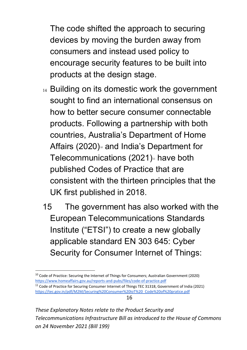The code shifted the approach to securing devices by moving the burden away from consumers and instead used policy to encourage security features to be built into products at the design stage.

- 14 Building on its domestic work the government sought to find an international consensus on how to better secure consumer connectable products. Following a partnership with both countries, Australia's Department of Home Affairs  $(2020)$ <sup> $\scriptstyle\circ$ </sup> and India's Department for Telecommunications  $(2021)$ <sup>n</sup> have both published Codes of Practice that are consistent with the thirteen principles that the UK first published in 2018.
- 15 The government has also worked with the European Telecommunications Standards Institute ("ETSI") to create a new globally applicable standard EN 303 645: Cyber Security for Consumer Internet of Things:

16

<span id="page-16-0"></span> $10$  Code of Practice: Securing the Internet of Things for Consumers; Australian Government (2020) <https://www.homeaffairs.gov.au/reports-and-pubs/files/code-of-practice.pdf>

<span id="page-16-1"></span><sup>&</sup>lt;sup>11</sup> Code of Practice for Securing Consumer Internet of Things TEC 31318, Government of India (2021) [https://tec.gov.in/pdf/M2M/Securing%20Consumer%20IoT%20\\_Code%20of%20pratice.pdf](https://tec.gov.in/pdf/M2M/Securing%20Consumer%20IoT%20_Code%20of%20pratice.pdf)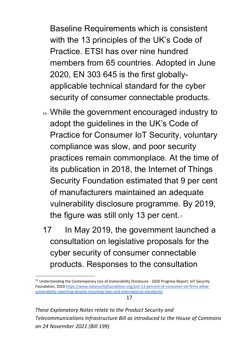Baseline Requirements which is consistent with the 13 principles of the UK's Code of Practice. ETSI has over nine hundred members from 65 countries. Adopted in June 2020, EN 303 645 is the first globallyapplicable technical standard for the cyber security of consumer connectable products.

- 16 While the government encouraged industry to adopt the guidelines in the UK's Code of Practice for Consumer IoT Security, voluntary compliance was slow, and poor security practices remain commonplace. At the time of its publication in 2018, the Internet of Things Security Foundation estimated that 9 per cent of manufacturers maintained an adequate vulnerability disclosure programme. By 2019, the figure was still only 13 per cent. $\frac{1}{12}$  $\frac{1}{12}$  $\frac{1}{12}$
- 17 In May 2019, the government launched a consultation on legislative proposals for the cyber security of consumer connectable products. Responses to the consultation

17

<span id="page-17-0"></span><sup>&</sup>lt;sup>12</sup> Understanding the Contemporary Use of Vulnerability Disclosure - 2020 Progress Report, IoT Security Foundation, 2020 [https://www.iotsecurityfoundation.org/just-13-percent-of-consumer-iot-firms-allow](https://www.iotsecurityfoundation.org/just-13-percent-of-consumer-iot-firms-allow-vulnerability-reporting-despite-incoming-laws-and-international-standards/)[vulnerability-reporting-despite-incoming-laws-and-international-standards/](https://www.iotsecurityfoundation.org/just-13-percent-of-consumer-iot-firms-allow-vulnerability-reporting-despite-incoming-laws-and-international-standards/)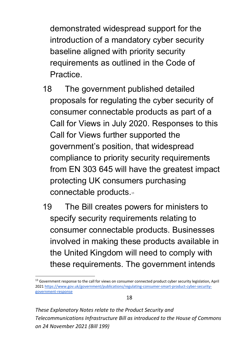demonstrated widespread support for the introduction of a mandatory cyber security baseline aligned with priority security requirements as outlined in the Code of Practice.

- 18 The government published detailed proposals for regulating the cyber security of consumer connectable products as part of a Call for Views in July 2020. Responses to this Call for Views further supported the government's position, that widespread compliance to priority security requirements from EN 303 645 will have the greatest impact protecting UK consumers purchasing connectable products.<sup>[13](#page-18-0)</sup>
- 19 The Bill creates powers for ministers to specify security requirements relating to consumer connectable products. Businesses involved in making these products available in the United Kingdom will need to comply with these requirements. The government intends

<span id="page-18-0"></span><sup>&</sup>lt;sup>13</sup> Government response to the call for views on consumer connected product cyber security legislation, April 202[1 https://www.gov.uk/government/publications/regulating-consumer-smart-product-cyber-security](https://www.gov.uk/government/publications/regulating-consumer-smart-product-cyber-security-government-response)[government-response](https://www.gov.uk/government/publications/regulating-consumer-smart-product-cyber-security-government-response)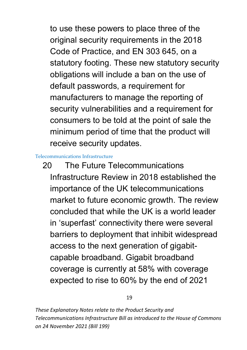to use these powers to place three of the original security requirements in the 2018 Code of Practice, and EN 303 645, on a statutory footing. These new statutory security obligations will include a ban on the use of default passwords, a requirement for manufacturers to manage the reporting of security vulnerabilities and a requirement for consumers to be told at the point of sale the minimum period of time that the product will receive security updates.

Telecommunications Infrastructure

20 The Future Telecommunications Infrastructure Review in 2018 established the importance of the UK telecommunications market to future economic growth. The review concluded that while the UK is a world leader in 'superfast' connectivity there were several barriers to deployment that inhibit widespread access to the next generation of gigabitcapable broadband. Gigabit broadband coverage is currently at 58% with coverage expected to rise to 60% by the end of 2021

19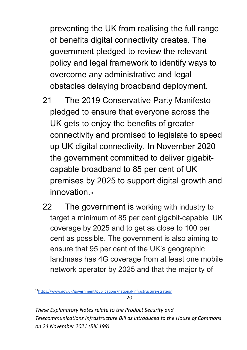preventing the UK from realising the full range of benefits digital connectivity creates. The government pledged to review the relevant policy and legal framework to identify ways to overcome any administrative and legal obstacles delaying broadband deployment.

- 21 The 2019 Conservative Party Manifesto pledged to ensure that everyone across the UK gets to enjoy the benefits of greater connectivity and promised to legislate to speed up UK digital connectivity. In November 2020 the government committed to deliver gigabitcapable broadband to 85 per cent of UK premises by 2025 to support digital growth and innovation.[14](#page-20-0)
- 22 The government is working with industry to target a minimum of 85 per cent gigabit-capable UK coverage by 2025 and to get as close to 100 per cent as possible. The government is also aiming to ensure that 95 per cent of the UK's geographic landmass has 4G coverage from at least one mobile network operator by 2025 and that the majority of

20

<span id="page-20-0"></span><sup>1</sup>[4https://www.gov.uk/government/publications/national-infrastructure-strategy](https://www.gov.uk/government/publications/national-infrastructure-strategy)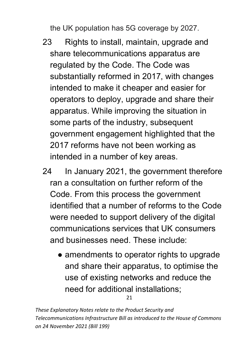the UK population has 5G coverage by 2027.

- 23 Rights to install, maintain, upgrade and share telecommunications apparatus are regulated by the Code. The Code was substantially reformed in 2017, with changes intended to make it cheaper and easier for operators to deploy, upgrade and share their apparatus. While improving the situation in some parts of the industry, subsequent government engagement highlighted that the 2017 reforms have not been working as intended in a number of key areas.
- 24 In January 2021, the government therefore ran a consultation on further reform of the Code. From this process the government identified that a number of reforms to the Code were needed to support delivery of the digital communications services that UK consumers and businesses need. These include:
	- amendments to operator rights to upgrade and share their apparatus, to optimise the use of existing networks and reduce the need for additional installations;

21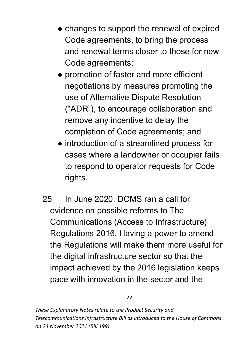- changes to support the renewal of expired Code agreements, to bring the process and renewal terms closer to those for new Code agreements;
- promotion of faster and more efficient negotiations by measures promoting the use of Alternative Dispute Resolution ("ADR"), to encourage collaboration and remove any incentive to delay the completion of Code agreements; and
- introduction of a streamlined process for cases where a landowner or occupier fails to respond to operator requests for Code rights.
- 25 In June 2020, DCMS ran a call for evidence on possible reforms to The Communications (Access to Infrastructure) Regulations 2016. Having a power to amend the Regulations will make them more useful for the digital infrastructure sector so that the impact achieved by the 2016 legislation keeps pace with innovation in the sector and the

22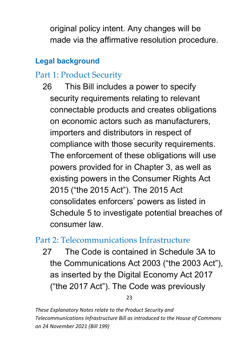original policy intent. Any changes will be made via the affirmative resolution procedure.

#### <span id="page-23-0"></span>**Legal background**

### <span id="page-23-1"></span>Part 1: Product Security

26 This Bill includes a power to specify security requirements relating to relevant connectable products and creates obligations on economic actors such as manufacturers, importers and distributors in respect of compliance with those security requirements. The enforcement of these obligations will use powers provided for in Chapter 3, as well as existing powers in the Consumer Rights Act 2015 ("the 2015 Act"). The 2015 Act consolidates enforcers' powers as listed in Schedule 5 to investigate potential breaches of consumer law.

#### <span id="page-23-2"></span>Part 2: Telecommunications Infrastructure

27 The Code is contained in Schedule 3A to the Communications Act 2003 ("the 2003 Act"), as inserted by the Digital Economy Act 2017 ("the 2017 Act"). The Code was previously

23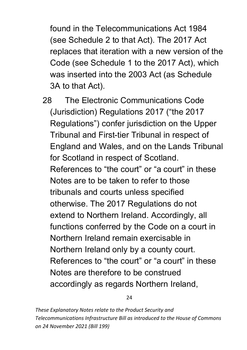found in the Telecommunications Act 1984 (see Schedule 2 to that Act). The 2017 Act replaces that iteration with a new version of the Code (see Schedule 1 to the 2017 Act), which was inserted into the 2003 Act (as Schedule 3A to that Act).

28 The Electronic Communications Code (Jurisdiction) Regulations 2017 ("the 2017 Regulations") confer jurisdiction on the Upper Tribunal and First-tier Tribunal in respect of England and Wales, and on the Lands Tribunal for Scotland in respect of Scotland. References to "the court" or "a court" in these Notes are to be taken to refer to those tribunals and courts unless specified otherwise. The 2017 Regulations do not extend to Northern Ireland. Accordingly, all functions conferred by the Code on a court in Northern Ireland remain exercisable in Northern Ireland only by a county court. References to "the court" or "a court" in these Notes are therefore to be construed accordingly as regards Northern Ireland,

24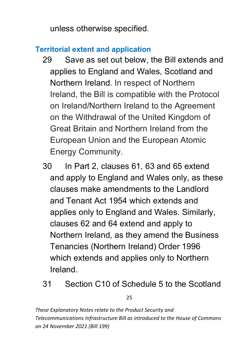unless otherwise specified.

#### <span id="page-25-0"></span>**Territorial extent and application**

- 29 Save as set out below, the Bill extends and applies to England and Wales, Scotland and Northern Ireland. In respect of Northern Ireland, the Bill is compatible with the Protocol on Ireland/Northern Ireland to the Agreement on the Withdrawal of the United Kingdom of Great Britain and Northern Ireland from the European Union and the European Atomic Energy Community.
- 30 In Part 2, clauses 61, 63 and 65 extend and apply to England and Wales only, as these clauses make amendments to the Landlord and Tenant Act 1954 which extends and applies only to England and Wales. Similarly, clauses 62 and 64 extend and apply to Northern Ireland, as they amend the Business Tenancies (Northern Ireland) Order 1996 which extends and applies only to Northern Ireland.
- 31 Section C10 of Schedule 5 to the Scotland

25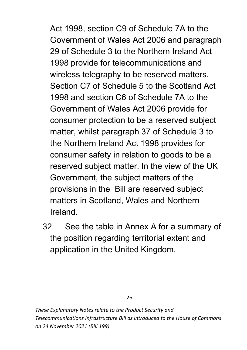Act 1998, section C9 of Schedule 7A to the Government of Wales Act 2006 and paragraph 29 of Schedule 3 to the Northern Ireland Act 1998 provide for telecommunications and wireless telegraphy to be reserved matters. Section C7 of Schedule 5 to the Scotland Act 1998 and section C6 of Schedule 7A to the Government of Wales Act 2006 provide for consumer protection to be a reserved subject matter, whilst paragraph 37 of Schedule 3 to the Northern Ireland Act 1998 provides for consumer safety in relation to goods to be a reserved subject matter. In the view of the UK Government, the subject matters of the provisions in the Bill are reserved subject matters in Scotland, Wales and Northern Ireland.

32 See the table in Annex A for a summary of the position regarding territorial extent and application in the United Kingdom.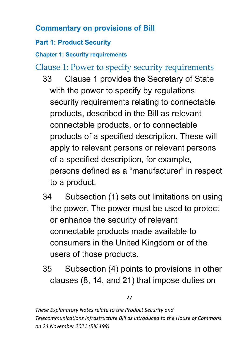#### <span id="page-27-0"></span>**Commentary on provisions of Bill**

#### <span id="page-27-1"></span>**Part 1: Product Security**

<span id="page-27-2"></span>**Chapter 1: Security requirements**

<span id="page-27-3"></span>Clause 1: Power to specify security requirements

- 33 Clause 1 provides the Secretary of State with the power to specify by regulations security requirements relating to connectable products, described in the Bill as relevant connectable products, or to connectable products of a specified description. These will apply to relevant persons or relevant persons of a specified description, for example, persons defined as a "manufacturer" in respect to a product.
- 34 Subsection (1) sets out limitations on using the power. The power must be used to protect or enhance the security of relevant connectable products made available to consumers in the United Kingdom or of the users of those products.
- 35 Subsection (4) points to provisions in other clauses (8, 14, and 21) that impose duties on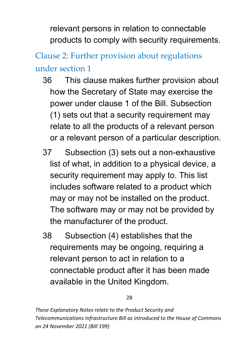relevant persons in relation to connectable products to comply with security requirements.

# <span id="page-28-0"></span>Clause 2: Further provision about regulations under section 1

- 36 This clause makes further provision about how the Secretary of State may exercise the power under clause 1 of the Bill. Subsection (1) sets out that a security requirement may relate to all the products of a relevant person or a relevant person of a particular description.
- 37 Subsection (3) sets out a non-exhaustive list of what, in addition to a physical device, a security requirement may apply to. This list includes software related to a product which may or may not be installed on the product. The software may or may not be provided by the manufacturer of the product.
- 38 Subsection (4) establishes that the requirements may be ongoing, requiring a relevant person to act in relation to a connectable product after it has been made available in the United Kingdom.

28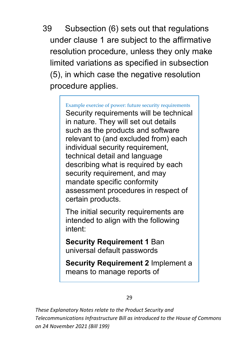39 Subsection (6) sets out that regulations under clause 1 are subject to the affirmative resolution procedure, unless they only make limited variations as specified in subsection (5), in which case the negative resolution procedure applies.

> Example exercise of power: future security requirements Security requirements will be technical in nature. They will set out details such as the products and software relevant to (and excluded from) each individual security requirement, technical detail and language describing what is required by each security requirement, and may mandate specific conformity assessment procedures in respect of certain products.

The initial security requirements are intended to align with the following intent:

**Security Requirement 1** Ban universal default passwords

**Security Requirement 2** Implement a means to manage reports of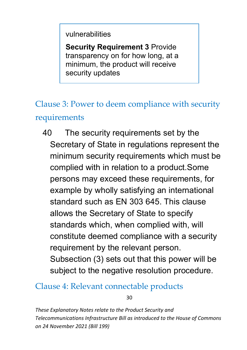vulnerabilities

**Security Requirement 3 Provide** transparency on for how long, at a minimum, the product will receive security updates

## <span id="page-30-0"></span>Clause 3: Power to deem compliance with security requirements

40 The security requirements set by the Secretary of State in regulations represent the minimum security requirements which must be complied with in relation to a product.Some persons may exceed these requirements, for example by wholly satisfying an international standard such as EN 303 645. This clause allows the Secretary of State to specify standards which, when complied with, will constitute deemed compliance with a security requirement by the relevant person. Subsection (3) sets out that this power will be subject to the negative resolution procedure.

#### <span id="page-30-1"></span>Clause 4: Relevant connectable products

30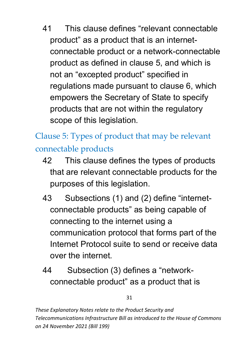41 This clause defines "relevant connectable product" as a product that is an internetconnectable product or a network-connectable product as defined in clause 5, and which is not an "excepted product" specified in regulations made pursuant to clause 6, which empowers the Secretary of State to specify products that are not within the regulatory scope of this legislation.

<span id="page-31-0"></span>Clause 5: Types of product that may be relevant connectable products

- 42 This clause defines the types of products that are relevant connectable products for the purposes of this legislation.
- 43 Subsections (1) and (2) define "internetconnectable products" as being capable of connecting to the internet using a communication protocol that forms part of the Internet Protocol suite to send or receive data over the internet.
- 44 Subsection (3) defines a "networkconnectable product" as a product that is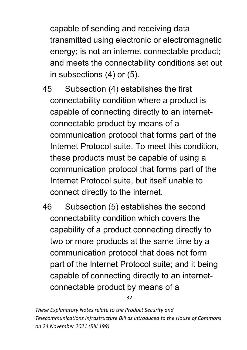capable of sending and receiving data transmitted using electronic or electromagnetic energy; is not an internet connectable product; and meets the connectability conditions set out in subsections (4) or (5).

- 45 Subsection (4) establishes the first connectability condition where a product is capable of connecting directly to an internetconnectable product by means of a communication protocol that forms part of the Internet Protocol suite. To meet this condition, these products must be capable of using a communication protocol that forms part of the Internet Protocol suite, but itself unable to connect directly to the internet.
- 46 Subsection (5) establishes the second connectability condition which covers the capability of a product connecting directly to two or more products at the same time by a communication protocol that does not form part of the Internet Protocol suite; and it being capable of connecting directly to an internetconnectable product by means of a

32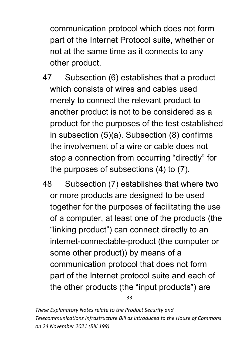communication protocol which does not form part of the Internet Protocol suite, whether or not at the same time as it connects to any other product.

- 47 Subsection (6) establishes that a product which consists of wires and cables used merely to connect the relevant product to another product is not to be considered as a product for the purposes of the test established in subsection (5)(a). Subsection (8) confirms the involvement of a wire or cable does not stop a connection from occurring "directly" for the purposes of subsections (4) to (7).
- 48 Subsection (7) establishes that where two or more products are designed to be used together for the purposes of facilitating the use of a computer, at least one of the products (the "linking product") can connect directly to an internet-connectable-product (the computer or some other product)) by means of a communication protocol that does not form part of the Internet protocol suite and each of the other products (the "input products") are

33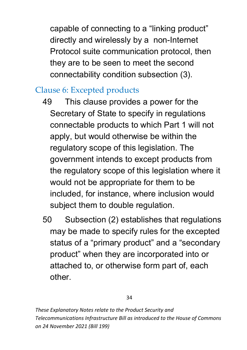capable of connecting to a "linking product" directly and wirelessly by a non-Internet Protocol suite communication protocol, then they are to be seen to meet the second connectability condition subsection (3).

### <span id="page-34-0"></span>Clause 6: Excepted products

- 49 This clause provides a power for the Secretary of State to specify in regulations connectable products to which Part 1 will not apply, but would otherwise be within the regulatory scope of this legislation. The government intends to except products from the regulatory scope of this legislation where it would not be appropriate for them to be included, for instance, where inclusion would subject them to double regulation.
- 50 Subsection (2) establishes that regulations may be made to specify rules for the excepted status of a "primary product" and a "secondary product" when they are incorporated into or attached to, or otherwise form part of, each other.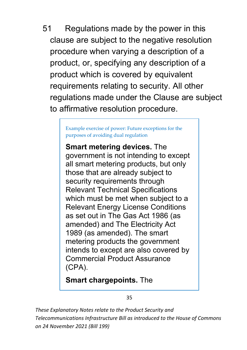51 Regulations made by the power in this clause are subject to the negative resolution procedure when varying a description of a product, or, specifying any description of a product which is covered by equivalent requirements relating to security. All other regulations made under the Clause are subject to affirmative resolution procedure.

> Example exercise of power: Future exceptions for the purposes of avoiding dual regulation

**Smart metering devices.** The government is not intending to except all smart metering products, but only those that are already subject to security requirements through Relevant Technical Specifications which must be met when subject to a Relevant Energy License Conditions as set out in The Gas Act 1986 (as amended) and The Electricity Act 1989 (as amended). The smart metering products the government intends to except are also covered by Commercial Product Assurance (CPA).

**Smart chargepoints.** The

35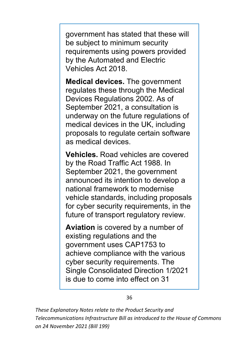government has stated that these will be subject to minimum security requirements using powers provided by the Automated and Electric Vehicles Act 2018.

**Medical devices.** The government regulates these through the Medical Devices Regulations 2002. As of September 2021, a consultation is underway on the future regulations of medical devices in the UK, including proposals to regulate certain software as medical devices.

**Vehicles.** Road vehicles are covered by the Road Traffic Act 1988. In September 2021, the government announced its intention to develop a national framework to modernise vehicle standards, including proposals for cyber security requirements, in the future of transport regulatory review.

**Aviation** is covered by a number of existing regulations and the government uses CAP1753 to achieve compliance with the various cyber security requirements. The Single Consolidated Direction 1/2021 is due to come into effect on 31

36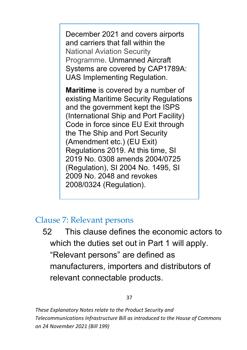December 2021 and covers airports and carriers that fall within the National Aviation Security Programme. Unmanned Aircraft Systems are covered by CAP1789A: UAS Implementing Regulation.

**Maritime** is covered by a number of existing Maritime Security Regulations and the government kept the ISPS (International Ship and Port Facility) Code in force since EU Exit through the The Ship and Port Security (Amendment etc.) (EU Exit) Regulations 2019. At this time, SI 2019 No. 0308 amends 2004/0725 (Regulation), SI 2004 No. 1495, SI 2009 No. 2048 and revokes 2008/0324 (Regulation).

### Clause 7: Relevant persons

52 This clause defines the economic actors to which the duties set out in Part 1 will apply. "Relevant persons" are defined as manufacturers, importers and distributors of relevant connectable products.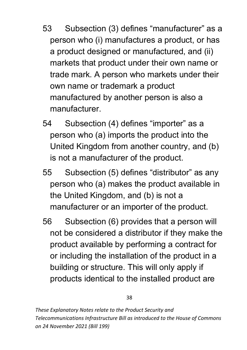- 53 Subsection (3) defines "manufacturer" as a person who (i) manufactures a product, or has a product designed or manufactured, and (ii) markets that product under their own name or trade mark. A person who markets under their own name or trademark a product manufactured by another person is also a manufacturer.
- 54 Subsection (4) defines "importer" as a person who (a) imports the product into the United Kingdom from another country, and (b) is not a manufacturer of the product.
- 55 Subsection (5) defines "distributor" as any person who (a) makes the product available in the United Kingdom, and (b) is not a manufacturer or an importer of the product.
- 56 Subsection (6) provides that a person will not be considered a distributor if they make the product available by performing a contract for or including the installation of the product in a building or structure. This will only apply if products identical to the installed product are

38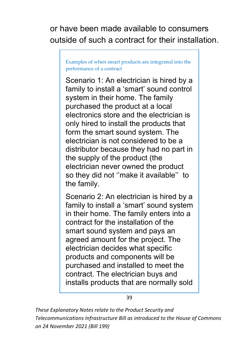or have been made available to consumers outside of such a contract for their installation.

Examples of when smart products are integrated into the performance of a contract

Scenario 1: An electrician is hired by a family to install a 'smart' sound control system in their home. The family purchased the product at a local electronics store and the electrician is only hired to install the products that form the smart sound system. The electrician is not considered to be a distributor because they had no part in the supply of the product (the electrician never owned the product so they did not ''make it available'' to the family.

Scenario 2: An electrician is hired by a family to install a 'smart' sound system in their home. The family enters into a contract for the installation of the smart sound system and pays an agreed amount for the project. The electrician decides what specific products and components will be purchased and installed to meet the contract. The electrician buys and installs products that are normally sold

39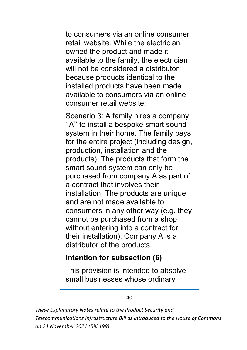to consumers via an online consumer retail website. While the electrician owned the product and made it available to the family, the electrician will not be considered a distributor because products identical to the installed products have been made available to consumers via an online consumer retail website.

Scenario 3: A family hires a company ''A'' to install a bespoke smart sound system in their home. The family pays for the entire project (including design, production, installation and the products). The products that form the smart sound system can only be purchased from company A as part of a contract that involves their installation. The products are unique and are not made available to consumers in any other way (e.g. they cannot be purchased from a shop without entering into a contract for their installation). Company A is a distributor of the products.

### **Intention for subsection (6)**

This provision is intended to absolve small businesses whose ordinary

#### 40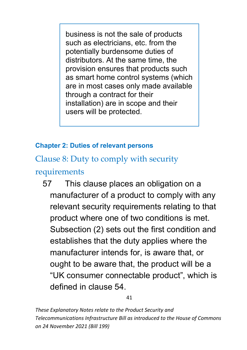business is not the sale of products such as electricians, etc. from the potentially burdensome duties of distributors. At the same time, the provision ensures that products such as smart home control systems (which are in most cases only made available through a contract for their installation) are in scope and their users will be protected.

#### **Chapter 2: Duties of relevant persons**

Clause 8: Duty to comply with security

### requirements

57 This clause places an obligation on a manufacturer of a product to comply with any relevant security requirements relating to that product where one of two conditions is met. Subsection (2) sets out the first condition and establishes that the duty applies where the manufacturer intends for, is aware that, or ought to be aware that, the product will be a "UK consumer connectable product", which is defined in clause 54.

41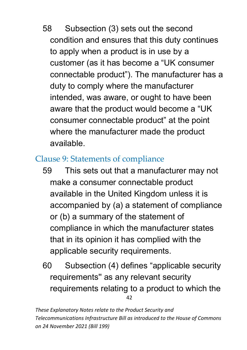58 Subsection (3) sets out the second condition and ensures that this duty continues to apply when a product is in use by a customer (as it has become a "UK consumer connectable product"). The manufacturer has a duty to comply where the manufacturer intended, was aware, or ought to have been aware that the product would become a "UK consumer connectable product" at the point where the manufacturer made the product available.

## Clause 9: Statements of compliance

- 59 This sets out that a manufacturer may not make a consumer connectable product available in the United Kingdom unless it is accompanied by (a) a statement of compliance or (b) a summary of the statement of compliance in which the manufacturer states that in its opinion it has complied with the applicable security requirements.
- 42 60 Subsection (4) defines "applicable security requirements'' as any relevant security requirements relating to a product to which the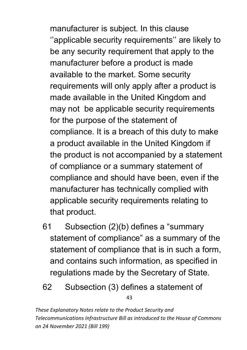manufacturer is subject. In this clause ''applicable security requirements'' are likely to be any security requirement that apply to the manufacturer before a product is made available to the market. Some security requirements will only apply after a product is made available in the United Kingdom and may not be applicable security requirements for the purpose of the statement of compliance. It is a breach of this duty to make a product available in the United Kingdom if the product is not accompanied by a statement of compliance or a summary statement of compliance and should have been, even if the manufacturer has technically complied with applicable security requirements relating to that product.

- 61 Subsection (2)(b) defines a "summary statement of compliance" as a summary of the statement of compliance that is in such a form, and contains such information, as specified in regulations made by the Secretary of State.
- 43 62 Subsection (3) defines a statement of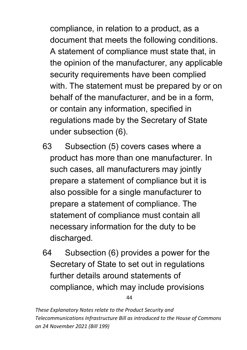compliance, in relation to a product, as a document that meets the following conditions. A statement of compliance must state that, in the opinion of the manufacturer, any applicable security requirements have been complied with. The statement must be prepared by or on behalf of the manufacturer, and be in a form, or contain any information, specified in regulations made by the Secretary of State under subsection (6).

- 63 Subsection (5) covers cases where a product has more than one manufacturer. In such cases, all manufacturers may jointly prepare a statement of compliance but it is also possible for a single manufacturer to prepare a statement of compliance. The statement of compliance must contain all necessary information for the duty to be discharged.
- 44 64 Subsection (6) provides a power for the Secretary of State to set out in regulations further details around statements of compliance, which may include provisions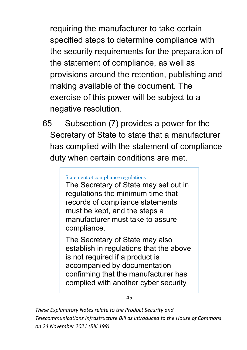requiring the manufacturer to take certain specified steps to determine compliance with the security requirements for the preparation of the statement of compliance, as well as provisions around the retention, publishing and making available of the document. The exercise of this power will be subject to a negative resolution.

65 Subsection (7) provides a power for the Secretary of State to state that a manufacturer has complied with the statement of compliance duty when certain conditions are met.

#### Statement of compliance regulations

The Secretary of State may set out in regulations the minimum time that records of compliance statements must be kept, and the steps a manufacturer must take to assure compliance.

The Secretary of State may also establish in regulations that the above is not required if a product is accompanied by documentation confirming that the manufacturer has complied with another cyber security

45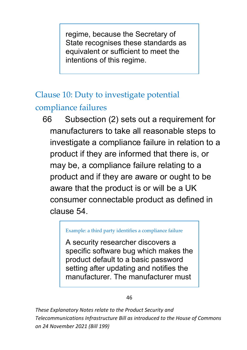regime, because the Secretary of State recognises these standards as equivalent or sufficient to meet the intentions of this regime.

# Clause 10: Duty to investigate potential

### compliance failures

66 Subsection (2) sets out a requirement for manufacturers to take all reasonable steps to investigate a compliance failure in relation to a product if they are informed that there is, or may be, a compliance failure relating to a product and if they are aware or ought to be aware that the product is or will be a UK consumer connectable product as defined in clause 54.

#### Example: a third party identifies a compliance failure

A security researcher discovers a specific software bug which makes the product default to a basic password setting after updating and notifies the manufacturer. The manufacturer must

#### 46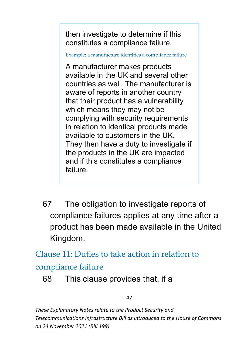then investigate to determine if this constitutes a compliance failure.

Example: a manufacture identifies a compliance failure

A manufacturer makes products available in the UK and several other countries as well. The manufacturer is aware of reports in another country that their product has a vulnerability which means they may not be complying with security requirements in relation to identical products made available to customers in the UK. They then have a duty to investigate if the products in the UK are impacted and if this constitutes a compliance failure.

67 The obligation to investigate reports of compliance failures applies at any time after a product has been made available in the United Kingdom.

Clause 11: Duties to take action in relation to compliance failure

68 This clause provides that, if a

47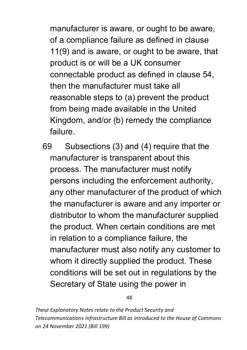manufacturer is aware, or ought to be aware, of a compliance failure as defined in clause 11(9) and is aware, or ought to be aware, that product is or will be a UK consumer connectable product as defined in clause 54, then the manufacturer must take all reasonable steps to (a) prevent the product from being made available in the United Kingdom, and/or (b) remedy the compliance failure.

69 Subsections (3) and (4) require that the manufacturer is transparent about this process. The manufacturer must notify persons including the enforcement authority, any other manufacturer of the product of which the manufacturer is aware and any importer or distributor to whom the manufacturer supplied the product. When certain conditions are met in relation to a compliance failure, the manufacturer must also notify any customer to whom it directly supplied the product. These conditions will be set out in regulations by the Secretary of State using the power in

48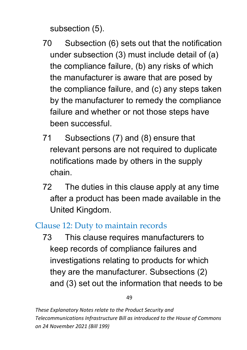subsection (5).

- 70 Subsection (6) sets out that the notification under subsection (3) must include detail of (a) the compliance failure, (b) any risks of which the manufacturer is aware that are posed by the compliance failure, and (c) any steps taken by the manufacturer to remedy the compliance failure and whether or not those steps have been successful.
- 71 Subsections (7) and (8) ensure that relevant persons are not required to duplicate notifications made by others in the supply chain.
- 72 The duties in this clause apply at any time after a product has been made available in the United Kingdom.

### Clause 12: Duty to maintain records

73 This clause requires manufacturers to keep records of compliance failures and investigations relating to products for which they are the manufacturer. Subsections (2) and (3) set out the information that needs to be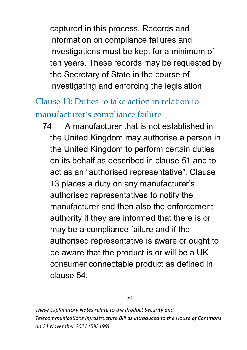captured in this process. Records and information on compliance failures and investigations must be kept for a minimum of ten years. These records may be requested by the Secretary of State in the course of investigating and enforcing the legislation.

# Clause 13: Duties to take action in relation to manufacturer's compliance failure

74 A manufacturer that is not established in the United Kingdom may authorise a person in the United Kingdom to perform certain duties on its behalf as described in clause 51 and to act as an "authorised representative". Clause 13 places a duty on any manufacturer's authorised representatives to notify the manufacturer and then also the enforcement authority if they are informed that there is or may be a compliance failure and if the authorised representative is aware or ought to be aware that the product is or will be a UK consumer connectable product as defined in clause 54.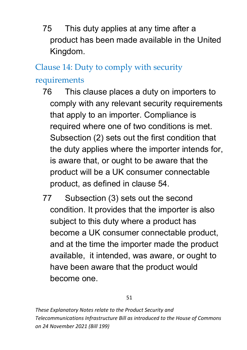75 This duty applies at any time after a product has been made available in the United Kingdom.

Clause 14: Duty to comply with security requirements

- 76 This clause places a duty on importers to comply with any relevant security requirements that apply to an importer. Compliance is required where one of two conditions is met. Subsection (2) sets out the first condition that the duty applies where the importer intends for, is aware that, or ought to be aware that the product will be a UK consumer connectable product, as defined in clause 54.
- 77 Subsection (3) sets out the second condition. It provides that the importer is also subject to this duty where a product has become a UK consumer connectable product, and at the time the importer made the product available, it intended, was aware, or ought to have been aware that the product would become one.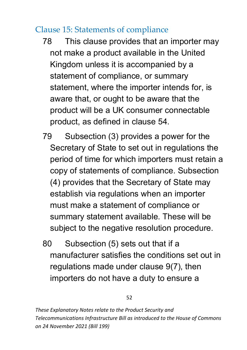### Clause 15: Statements of compliance

- 78 This clause provides that an importer may not make a product available in the United Kingdom unless it is accompanied by a statement of compliance, or summary statement, where the importer intends for, is aware that, or ought to be aware that the product will be a UK consumer connectable product, as defined in clause 54.
- 79 Subsection (3) provides a power for the Secretary of State to set out in regulations the period of time for which importers must retain a copy of statements of compliance. Subsection (4) provides that the Secretary of State may establish via regulations when an importer must make a statement of compliance or summary statement available. These will be subject to the negative resolution procedure.
- 80 Subsection (5) sets out that if a manufacturer satisfies the conditions set out in regulations made under clause 9(7), then importers do not have a duty to ensure a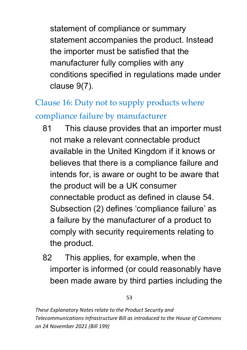statement of compliance or summary statement accompanies the product. Instead the importer must be satisfied that the manufacturer fully complies with any conditions specified in regulations made under clause 9(7).

# Clause 16: Duty not to supply products where compliance failure by manufacturer

- 81 This clause provides that an importer must not make a relevant connectable product available in the United Kingdom if it knows or believes that there is a compliance failure and intends for, is aware or ought to be aware that the product will be a UK consumer connectable product as defined in clause 54. Subsection (2) defines 'compliance failure' as a failure by the manufacturer of a product to comply with security requirements relating to the product.
- 82 This applies, for example, when the importer is informed (or could reasonably have been made aware by third parties including the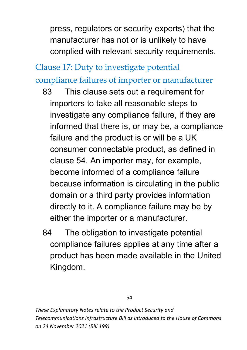press, regulators or security experts) that the manufacturer has not or is unlikely to have complied with relevant security requirements.

# Clause 17: Duty to investigate potential compliance failures of importer or manufacturer

- 83 This clause sets out a requirement for importers to take all reasonable steps to investigate any compliance failure, if they are informed that there is, or may be, a compliance failure and the product is or will be a UK consumer connectable product, as defined in clause 54. An importer may, for example, become informed of a compliance failure because information is circulating in the public domain or a third party provides information directly to it. A compliance failure may be by either the importer or a manufacturer.
- 84 The obligation to investigate potential compliance failures applies at any time after a product has been made available in the United Kingdom.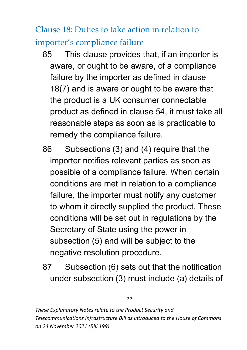Clause 18: Duties to take action in relation to importer's compliance failure

- 85 This clause provides that, if an importer is aware, or ought to be aware, of a compliance failure by the importer as defined in clause 18(7) and is aware or ought to be aware that the product is a UK consumer connectable product as defined in clause 54, it must take all reasonable steps as soon as is practicable to remedy the compliance failure.
- 86 Subsections (3) and (4) require that the importer notifies relevant parties as soon as possible of a compliance failure. When certain conditions are met in relation to a compliance failure, the importer must notify any customer to whom it directly supplied the product. These conditions will be set out in regulations by the Secretary of State using the power in subsection (5) and will be subject to the negative resolution procedure.
- 87 Subsection (6) sets out that the notification under subsection (3) must include (a) details of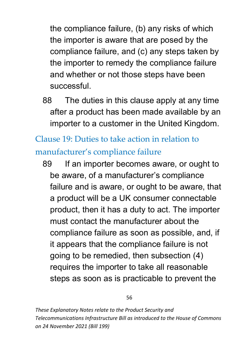the compliance failure, (b) any risks of which the importer is aware that are posed by the compliance failure, and (c) any steps taken by the importer to remedy the compliance failure and whether or not those steps have been successful.

88 The duties in this clause apply at any time after a product has been made available by an importer to a customer in the United Kingdom.

# Clause 19: Duties to take action in relation to manufacturer's compliance failure

89 If an importer becomes aware, or ought to be aware, of a manufacturer's compliance failure and is aware, or ought to be aware, that a product will be a UK consumer connectable product, then it has a duty to act. The importer must contact the manufacturer about the compliance failure as soon as possible, and, if it appears that the compliance failure is not going to be remedied, then subsection (4) requires the importer to take all reasonable steps as soon as is practicable to prevent the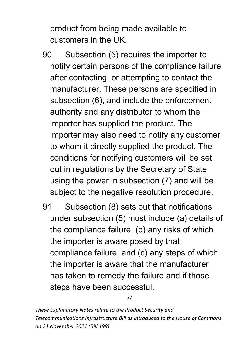product from being made available to customers in the UK.

- 90 Subsection (5) requires the importer to notify certain persons of the compliance failure after contacting, or attempting to contact the manufacturer. These persons are specified in subsection (6), and include the enforcement authority and any distributor to whom the importer has supplied the product. The importer may also need to notify any customer to whom it directly supplied the product. The conditions for notifying customers will be set out in regulations by the Secretary of State using the power in subsection (7) and will be subject to the negative resolution procedure.
- 91 Subsection (8) sets out that notifications under subsection (5) must include (a) details of the compliance failure, (b) any risks of which the importer is aware posed by that compliance failure, and (c) any steps of which the importer is aware that the manufacturer has taken to remedy the failure and if those steps have been successful.

57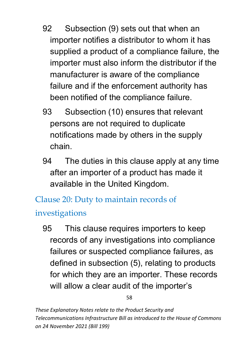- 92 Subsection (9) sets out that when an importer notifies a distributor to whom it has supplied a product of a compliance failure, the importer must also inform the distributor if the manufacturer is aware of the compliance failure and if the enforcement authority has been notified of the compliance failure.
- 93 Subsection (10) ensures that relevant persons are not required to duplicate notifications made by others in the supply chain.
- 94 The duties in this clause apply at any time after an importer of a product has made it available in the United Kingdom.

Clause 20: Duty to maintain records of

investigations

95 This clause requires importers to keep records of any investigations into compliance failures or suspected compliance failures, as defined in subsection (5), relating to products for which they are an importer. These records will allow a clear audit of the importer's

58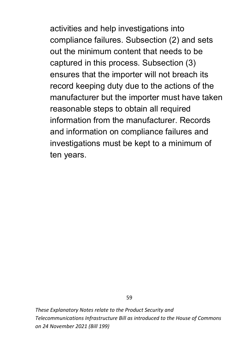activities and help investigations into compliance failures. Subsection (2) and sets out the minimum content that needs to be captured in this process. Subsection (3) ensures that the importer will not breach its record keeping duty due to the actions of the manufacturer but the importer must have taken reasonable steps to obtain all required information from the manufacturer. Records and information on compliance failures and investigations must be kept to a minimum of ten years.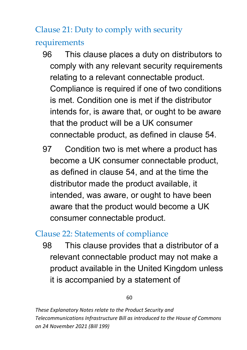Clause 21: Duty to comply with security requirements

- 96 This clause places a duty on distributors to comply with any relevant security requirements relating to a relevant connectable product. Compliance is required if one of two conditions is met. Condition one is met if the distributor intends for, is aware that, or ought to be aware that the product will be a UK consumer connectable product, as defined in clause 54.
- 97 Condition two is met where a product has become a UK consumer connectable product, as defined in clause 54, and at the time the distributor made the product available, it intended, was aware, or ought to have been aware that the product would become a UK consumer connectable product.

### Clause 22: Statements of compliance

98 This clause provides that a distributor of a relevant connectable product may not make a product available in the United Kingdom unless it is accompanied by a statement of

60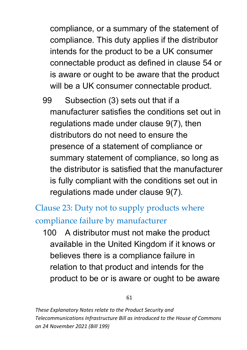compliance, or a summary of the statement of compliance. This duty applies if the distributor intends for the product to be a UK consumer connectable product as defined in clause 54 or is aware or ought to be aware that the product will be a UK consumer connectable product.

99 Subsection (3) sets out that if a manufacturer satisfies the conditions set out in regulations made under clause 9(7), then distributors do not need to ensure the presence of a statement of compliance or summary statement of compliance, so long as the distributor is satisfied that the manufacturer is fully compliant with the conditions set out in regulations made under clause 9(7).

## Clause 23: Duty not to supply products where compliance failure by manufacturer

100 A distributor must not make the product available in the United Kingdom if it knows or believes there is a compliance failure in relation to that product and intends for the product to be or is aware or ought to be aware

61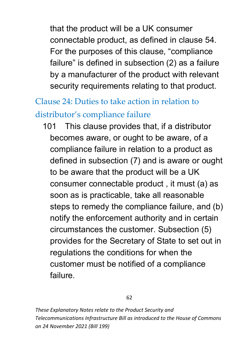that the product will be a UK consumer connectable product, as defined in clause 54. For the purposes of this clause, "compliance failure" is defined in subsection (2) as a failure by a manufacturer of the product with relevant security requirements relating to that product.

# Clause 24: Duties to take action in relation to distributor's compliance failure

101 This clause provides that, if a distributor becomes aware, or ought to be aware, of a compliance failure in relation to a product as defined in subsection (7) and is aware or ought to be aware that the product will be a UK consumer connectable product , it must (a) as soon as is practicable, take all reasonable steps to remedy the compliance failure, and (b) notify the enforcement authority and in certain circumstances the customer. Subsection (5) provides for the Secretary of State to set out in regulations the conditions for when the customer must be notified of a compliance failure.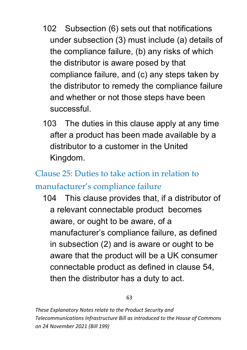- 102 Subsection (6) sets out that notifications under subsection (3) must include (a) details of the compliance failure, (b) any risks of which the distributor is aware posed by that compliance failure, and (c) any steps taken by the distributor to remedy the compliance failure and whether or not those steps have been successful.
- 103 The duties in this clause apply at any time after a product has been made available by a distributor to a customer in the United Kingdom.

### Clause 25: Duties to take action in relation to

### manufacturer's compliance failure

104 This clause provides that, if a distributor of a relevant connectable product becomes aware, or ought to be aware, of a manufacturer's compliance failure, as defined in subsection (2) and is aware or ought to be aware that the product will be a UK consumer connectable product as defined in clause 54, then the distributor has a duty to act.

#### 63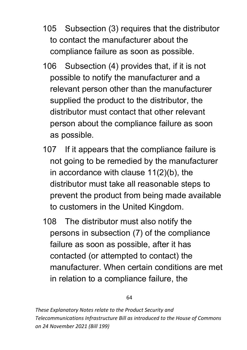- 105 Subsection (3) requires that the distributor to contact the manufacturer about the compliance failure as soon as possible.
- 106 Subsection (4) provides that, if it is not possible to notify the manufacturer and a relevant person other than the manufacturer supplied the product to the distributor, the distributor must contact that other relevant person about the compliance failure as soon as possible.
- 107 If it appears that the compliance failure is not going to be remedied by the manufacturer in accordance with clause 11(2)(b), the distributor must take all reasonable steps to prevent the product from being made available to customers in the United Kingdom.
- 108 The distributor must also notify the persons in subsection (7) of the compliance failure as soon as possible, after it has contacted (or attempted to contact) the manufacturer. When certain conditions are met in relation to a compliance failure, the

64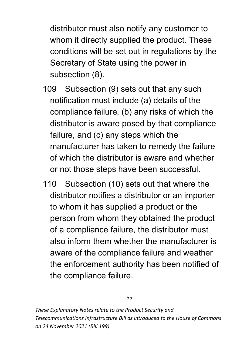distributor must also notify any customer to whom it directly supplied the product. These conditions will be set out in regulations by the Secretary of State using the power in subsection (8).

- 109 Subsection (9) sets out that any such notification must include (a) details of the compliance failure, (b) any risks of which the distributor is aware posed by that compliance failure, and (c) any steps which the manufacturer has taken to remedy the failure of which the distributor is aware and whether or not those steps have been successful.
- 110 Subsection (10) sets out that where the distributor notifies a distributor or an importer to whom it has supplied a product or the person from whom they obtained the product of a compliance failure, the distributor must also inform them whether the manufacturer is aware of the compliance failure and weather the enforcement authority has been notified of the compliance failure.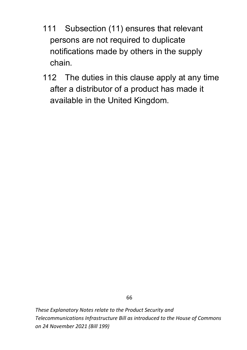- 111 Subsection (11) ensures that relevant persons are not required to duplicate notifications made by others in the supply chain.
- 112 The duties in this clause apply at any time after a distributor of a product has made it available in the United Kingdom.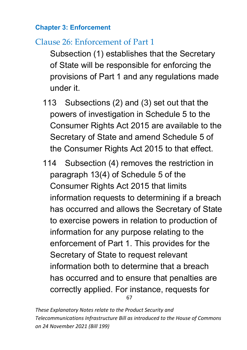### **Chapter 3: Enforcement**

### Clause 26: Enforcement of Part 1

Subsection (1) establishes that the Secretary of State will be responsible for enforcing the provisions of Part 1 and any regulations made under it.

- 113 Subsections (2) and (3) set out that the powers of investigation in Schedule 5 to the Consumer Rights Act 2015 are available to the Secretary of State and amend Schedule 5 of the Consumer Rights Act 2015 to that effect.
- 67 114 Subsection (4) removes the restriction in paragraph 13(4) of Schedule 5 of the Consumer Rights Act 2015 that limits information requests to determining if a breach has occurred and allows the Secretary of State to exercise powers in relation to production of information for any purpose relating to the enforcement of Part 1. This provides for the Secretary of State to request relevant information both to determine that a breach has occurred and to ensure that penalties are correctly applied. For instance, requests for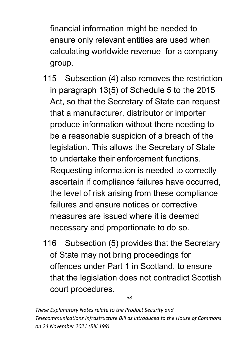financial information might be needed to ensure only relevant entities are used when calculating worldwide revenue for a company group.

- 115 Subsection (4) also removes the restriction in paragraph 13(5) of Schedule 5 to the 2015 Act, so that the Secretary of State can request that a manufacturer, distributor or importer produce information without there needing to be a reasonable suspicion of a breach of the legislation. This allows the Secretary of State to undertake their enforcement functions. Requesting information is needed to correctly ascertain if compliance failures have occurred, the level of risk arising from these compliance failures and ensure notices or corrective measures are issued where it is deemed necessary and proportionate to do so.
- 116 Subsection (5) provides that the Secretary of State may not bring proceedings for offences under Part 1 in Scotland, to ensure that the legislation does not contradict Scottish court procedures.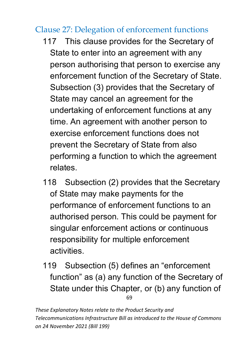### Clause 27: Delegation of enforcement functions

- 117 This clause provides for the Secretary of State to enter into an agreement with any person authorising that person to exercise any enforcement function of the Secretary of State. Subsection (3) provides that the Secretary of State may cancel an agreement for the undertaking of enforcement functions at any time. An agreement with another person to exercise enforcement functions does not prevent the Secretary of State from also performing a function to which the agreement relates.
- 118 Subsection (2) provides that the Secretary of State may make payments for the performance of enforcement functions to an authorised person. This could be payment for singular enforcement actions or continuous responsibility for multiple enforcement activities.
- 69 119 Subsection (5) defines an "enforcement function" as (a) any function of the Secretary of State under this Chapter, or (b) any function of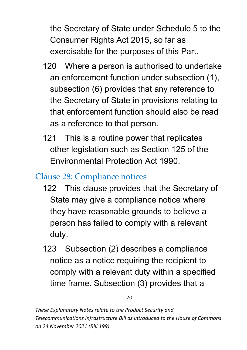the Secretary of State under Schedule 5 to the Consumer Rights Act 2015, so far as exercisable for the purposes of this Part.

- 120 Where a person is authorised to undertake an enforcement function under subsection (1), subsection (6) provides that any reference to the Secretary of State in provisions relating to that enforcement function should also be read as a reference to that person.
- 121 This is a routine power that replicates other legislation such as Section 125 of the Environmental Protection Act 1990.

### Clause 28: Compliance notices

- 122 This clause provides that the Secretary of State may give a compliance notice where they have reasonable grounds to believe a person has failed to comply with a relevant duty.
- 123 Subsection (2) describes a compliance notice as a notice requiring the recipient to comply with a relevant duty within a specified time frame. Subsection (3) provides that a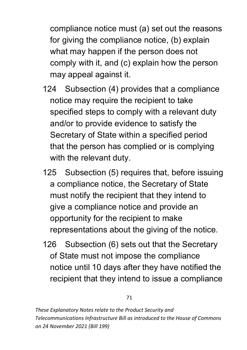compliance notice must (a) set out the reasons for giving the compliance notice, (b) explain what may happen if the person does not comply with it, and (c) explain how the person may appeal against it.

- 124 Subsection (4) provides that a compliance notice may require the recipient to take specified steps to comply with a relevant duty and/or to provide evidence to satisfy the Secretary of State within a specified period that the person has complied or is complying with the relevant duty.
- 125 Subsection (5) requires that, before issuing a compliance notice, the Secretary of State must notify the recipient that they intend to give a compliance notice and provide an opportunity for the recipient to make representations about the giving of the notice.
- 126 Subsection (6) sets out that the Secretary of State must not impose the compliance notice until 10 days after they have notified the recipient that they intend to issue a compliance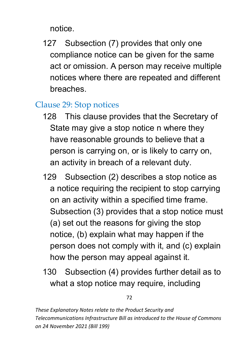notice.

127 Subsection (7) provides that only one compliance notice can be given for the same act or omission. A person may receive multiple notices where there are repeated and different breaches.

### Clause 29: Stop notices

- 128 This clause provides that the Secretary of State may give a stop notice n where they have reasonable grounds to believe that a person is carrying on, or is likely to carry on, an activity in breach of a relevant duty.
- 129 Subsection (2) describes a stop notice as a notice requiring the recipient to stop carrying on an activity within a specified time frame. Subsection (3) provides that a stop notice must (a) set out the reasons for giving the stop notice, (b) explain what may happen if the person does not comply with it, and (c) explain how the person may appeal against it.
- 130 Subsection (4) provides further detail as to what a stop notice may require, including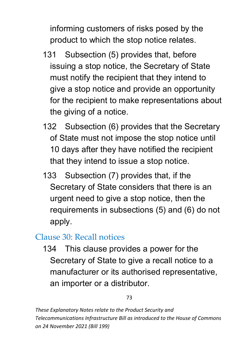informing customers of risks posed by the product to which the stop notice relates.

- 131 Subsection (5) provides that, before issuing a stop notice, the Secretary of State must notify the recipient that they intend to give a stop notice and provide an opportunity for the recipient to make representations about the giving of a notice.
- 132 Subsection (6) provides that the Secretary of State must not impose the stop notice until 10 days after they have notified the recipient that they intend to issue a stop notice.
- 133 Subsection (7) provides that, if the Secretary of State considers that there is an urgent need to give a stop notice, then the requirements in subsections (5) and (6) do not apply.

### Clause 30: Recall notices

134 This clause provides a power for the Secretary of State to give a recall notice to a manufacturer or its authorised representative, an importer or a distributor.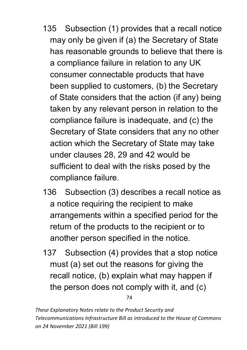- 135 Subsection (1) provides that a recall notice may only be given if (a) the Secretary of State has reasonable grounds to believe that there is a compliance failure in relation to any UK consumer connectable products that have been supplied to customers, (b) the Secretary of State considers that the action (if any) being taken by any relevant person in relation to the compliance failure is inadequate, and (c) the Secretary of State considers that any no other action which the Secretary of State may take under clauses 28, 29 and 42 would be sufficient to deal with the risks posed by the compliance failure.
- 136 Subsection (3) describes a recall notice as a notice requiring the recipient to make arrangements within a specified period for the return of the products to the recipient or to another person specified in the notice.
- 137 Subsection (4) provides that a stop notice must (a) set out the reasons for giving the recall notice, (b) explain what may happen if the person does not comply with it, and (c)

74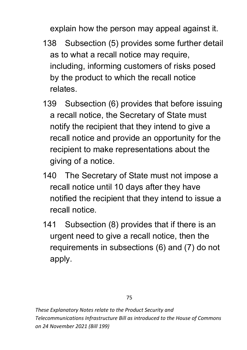explain how the person may appeal against it.

- 138 Subsection (5) provides some further detail as to what a recall notice may require, including, informing customers of risks posed by the product to which the recall notice relates.
- 139 Subsection (6) provides that before issuing a recall notice, the Secretary of State must notify the recipient that they intend to give a recall notice and provide an opportunity for the recipient to make representations about the giving of a notice.
- 140 The Secretary of State must not impose a recall notice until 10 days after they have notified the recipient that they intend to issue a recall notice.
- 141 Subsection (8) provides that if there is an urgent need to give a recall notice, then the requirements in subsections (6) and (7) do not apply.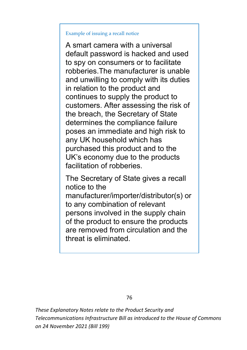#### Example of issuing a recall notice

A smart camera with a universal default password is hacked and used to spy on consumers or to facilitate robberies.The manufacturer is unable and unwilling to comply with its duties in relation to the product and continues to supply the product to customers. After assessing the risk of the breach, the Secretary of State determines the compliance failure poses an immediate and high risk to any UK household which has purchased this product and to the UK's economy due to the products facilitation of robberies.

The Secretary of State gives a recall notice to the manufacturer/importer/distributor(s) or to any combination of relevant persons involved in the supply chain of the product to ensure the products are removed from circulation and the threat is eliminated.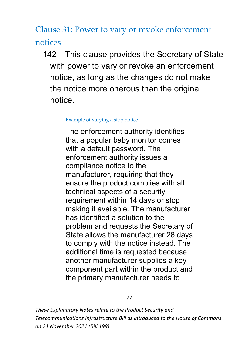Clause 31: Power to vary or revoke enforcement notices

142 This clause provides the Secretary of State with power to vary or revoke an enforcement notice, as long as the changes do not make the notice more onerous than the original notice.

#### Example of varying a stop notice

The enforcement authority identifies that a popular baby monitor comes with a default password. The enforcement authority issues a compliance notice to the manufacturer, requiring that they ensure the product complies with all technical aspects of a security requirement within 14 days or stop making it available. The manufacturer has identified a solution to the problem and requests the Secretary of State allows the manufacturer 28 days to comply with the notice instead. The additional time is requested because another manufacturer supplies a key component part within the product and the primary manufacturer needs to

#### 77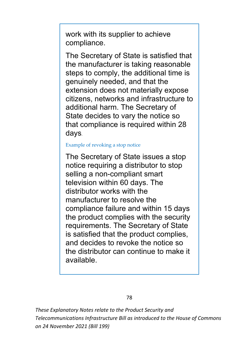work with its supplier to achieve compliance.

The Secretary of State is satisfied that the manufacturer is taking reasonable steps to comply, the additional time is genuinely needed, and that the extension does not materially expose citizens, networks and infrastructure to additional harm. The Secretary of State decides to vary the notice so that compliance is required within 28 days.

#### Example of revoking a stop notice

The Secretary of State issues a stop notice requiring a distributor to stop selling a non-compliant smart television within 60 days. The distributor works with the manufacturer to resolve the compliance failure and within 15 days the product complies with the security requirements. The Secretary of State is satisfied that the product complies, and decides to revoke the notice so the distributor can continue to make it available.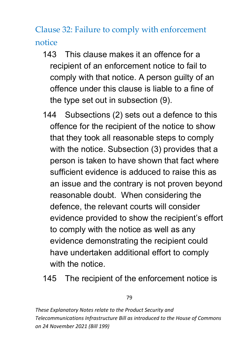Clause 32: Failure to comply with enforcement notice

- 143 This clause makes it an offence for a recipient of an enforcement notice to fail to comply with that notice. A person guilty of an offence under this clause is liable to a fine of the type set out in subsection (9).
- 144 Subsections (2) sets out a defence to this offence for the recipient of the notice to show that they took all reasonable steps to comply with the notice. Subsection (3) provides that a person is taken to have shown that fact where sufficient evidence is adduced to raise this as an issue and the contrary is not proven beyond reasonable doubt. When considering the defence, the relevant courts will consider evidence provided to show the recipient's effort to comply with the notice as well as any evidence demonstrating the recipient could have undertaken additional effort to comply with the notice.
- 145 The recipient of the enforcement notice is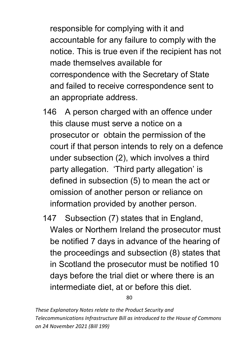responsible for complying with it and accountable for any failure to comply with the notice. This is true even if the recipient has not made themselves available for correspondence with the Secretary of State and failed to receive correspondence sent to an appropriate address.

- 146 A person charged with an offence under this clause must serve a notice on a prosecutor or obtain the permission of the court if that person intends to rely on a defence under subsection (2), which involves a third party allegation. 'Third party allegation' is defined in subsection (5) to mean the act or omission of another person or reliance on information provided by another person.
- 147 Subsection (7) states that in England, Wales or Northern Ireland the prosecutor must be notified 7 days in advance of the hearing of the proceedings and subsection (8) states that in Scotland the prosecutor must be notified 10 days before the trial diet or where there is an intermediate diet, at or before this diet.

80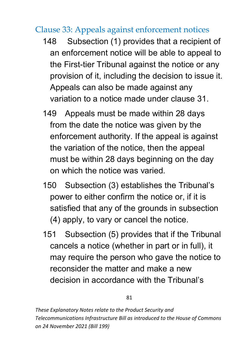### Clause 33: Appeals against enforcement notices

- 148 Subsection (1) provides that a recipient of an enforcement notice will be able to appeal to the First-tier Tribunal against the notice or any provision of it, including the decision to issue it. Appeals can also be made against any variation to a notice made under clause 31.
- 149 Appeals must be made within 28 days from the date the notice was given by the enforcement authority. If the appeal is against the variation of the notice, then the appeal must be within 28 days beginning on the day on which the notice was varied.
- 150 Subsection (3) establishes the Tribunal's power to either confirm the notice or, if it is satisfied that any of the grounds in subsection (4) apply, to vary or cancel the notice.
- 151 Subsection (5) provides that if the Tribunal cancels a notice (whether in part or in full), it may require the person who gave the notice to reconsider the matter and make a new decision in accordance with the Tribunal's

81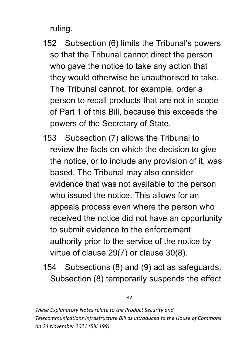ruling.

- 152 Subsection (6) limits the Tribunal's powers so that the Tribunal cannot direct the person who gave the notice to take any action that they would otherwise be unauthorised to take. The Tribunal cannot, for example, order a person to recall products that are not in scope of Part 1 of this Bill, because this exceeds the powers of the Secretary of State.
- 153 Subsection (7) allows the Tribunal to review the facts on which the decision to give the notice, or to include any provision of it, was based. The Tribunal may also consider evidence that was not available to the person who issued the notice. This allows for an appeals process even where the person who received the notice did not have an opportunity to submit evidence to the enforcement authority prior to the service of the notice by virtue of clause 29(7) or clause 30(8).
- 154 Subsections (8) and (9) act as safeguards. Subsection (8) temporarily suspends the effect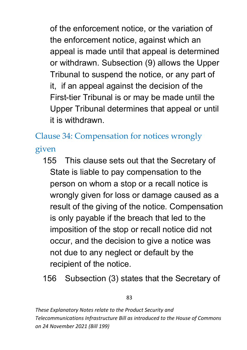of the enforcement notice, or the variation of the enforcement notice, against which an appeal is made until that appeal is determined or withdrawn. Subsection (9) allows the Upper Tribunal to suspend the notice, or any part of it, if an appeal against the decision of the First-tier Tribunal is or may be made until the Upper Tribunal determines that appeal or until it is withdrawn.

Clause 34: Compensation for notices wrongly given

- 155 This clause sets out that the Secretary of State is liable to pay compensation to the person on whom a stop or a recall notice is wrongly given for loss or damage caused as a result of the giving of the notice. Compensation is only payable if the breach that led to the imposition of the stop or recall notice did not occur, and the decision to give a notice was not due to any neglect or default by the recipient of the notice.
- 156 Subsection (3) states that the Secretary of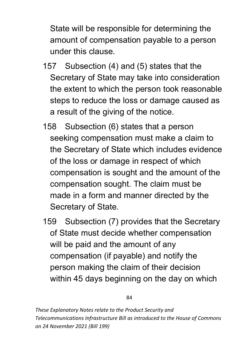State will be responsible for determining the amount of compensation payable to a person under this clause.

- 157 Subsection (4) and (5) states that the Secretary of State may take into consideration the extent to which the person took reasonable steps to reduce the loss or damage caused as a result of the giving of the notice.
- 158 Subsection (6) states that a person seeking compensation must make a claim to the Secretary of State which includes evidence of the loss or damage in respect of which compensation is sought and the amount of the compensation sought. The claim must be made in a form and manner directed by the Secretary of State.
- 159 Subsection (7) provides that the Secretary of State must decide whether compensation will be paid and the amount of any compensation (if payable) and notify the person making the claim of their decision within 45 days beginning on the day on which

84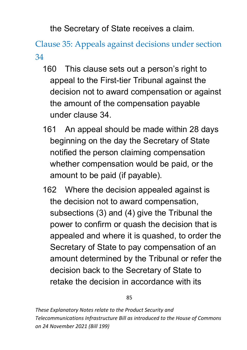the Secretary of State receives a claim.

Clause 35: Appeals against decisions under section 34

- 160 This clause sets out a person's right to appeal to the First-tier Tribunal against the decision not to award compensation or against the amount of the compensation payable under clause 34.
- 161 An appeal should be made within 28 days beginning on the day the Secretary of State notified the person claiming compensation whether compensation would be paid, or the amount to be paid (if payable).
- 162 Where the decision appealed against is the decision not to award compensation, subsections (3) and (4) give the Tribunal the power to confirm or quash the decision that is appealed and where it is quashed, to order the Secretary of State to pay compensation of an amount determined by the Tribunal or refer the decision back to the Secretary of State to retake the decision in accordance with its

85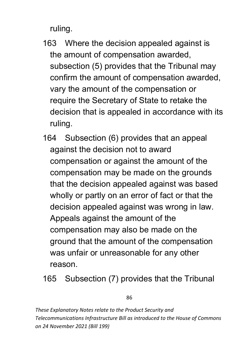ruling.

- 163 Where the decision appealed against is the amount of compensation awarded, subsection (5) provides that the Tribunal may confirm the amount of compensation awarded, vary the amount of the compensation or require the Secretary of State to retake the decision that is appealed in accordance with its ruling.
- 164 Subsection (6) provides that an appeal against the decision not to award compensation or against the amount of the compensation may be made on the grounds that the decision appealed against was based wholly or partly on an error of fact or that the decision appealed against was wrong in law. Appeals against the amount of the compensation may also be made on the ground that the amount of the compensation was unfair or unreasonable for any other reason.
- 165 Subsection (7) provides that the Tribunal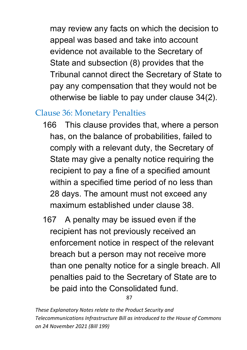may review any facts on which the decision to appeal was based and take into account evidence not available to the Secretary of State and subsection (8) provides that the Tribunal cannot direct the Secretary of State to pay any compensation that they would not be otherwise be liable to pay under clause 34(2).

### Clause 36: Monetary Penalties

- 166 This clause provides that, where a person has, on the balance of probabilities, failed to comply with a relevant duty, the Secretary of State may give a penalty notice requiring the recipient to pay a fine of a specified amount within a specified time period of no less than 28 days. The amount must not exceed any maximum established under clause 38.
- 167 A penalty may be issued even if the recipient has not previously received an enforcement notice in respect of the relevant breach but a person may not receive more than one penalty notice for a single breach. All penalties paid to the Secretary of State are to be paid into the Consolidated fund.

87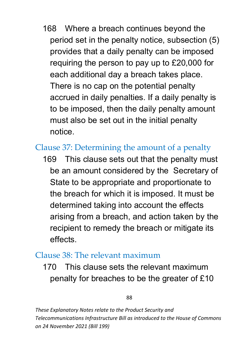168 Where a breach continues beyond the period set in the penalty notice, subsection (5) provides that a daily penalty can be imposed requiring the person to pay up to £20,000 for each additional day a breach takes place. There is no cap on the potential penalty accrued in daily penalties. If a daily penalty is to be imposed, then the daily penalty amount must also be set out in the initial penalty notice.

### Clause 37: Determining the amount of a penalty

169 This clause sets out that the penalty must be an amount considered by the Secretary of State to be appropriate and proportionate to the breach for which it is imposed. It must be determined taking into account the effects arising from a breach, and action taken by the recipient to remedy the breach or mitigate its effects.

#### $Cl<sub>311</sub>$ se 38<sup> $\cdot$ </sup> The relevant maximum

170 This clause sets the relevant maximum penalty for breaches to be the greater of £10

#### 88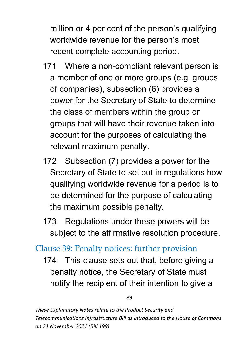million or 4 per cent of the person's qualifying worldwide revenue for the person's most recent complete accounting period.

- 171 Where a non-compliant relevant person is a member of one or more groups (e.g. groups of companies), subsection (6) provides a power for the Secretary of State to determine the class of members within the group or groups that will have their revenue taken into account for the purposes of calculating the relevant maximum penalty.
- 172 Subsection (7) provides a power for the Secretary of State to set out in regulations how qualifying worldwide revenue for a period is to be determined for the purpose of calculating the maximum possible penalty.
- 173 Regulations under these powers will be subject to the affirmative resolution procedure.

## Clause 39: Penalty notices: further provision

174 This clause sets out that, before giving a penalty notice, the Secretary of State must notify the recipient of their intention to give a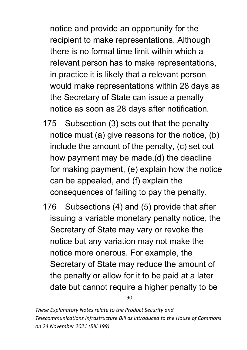notice and provide an opportunity for the recipient to make representations. Although there is no formal time limit within which a relevant person has to make representations, in practice it is likely that a relevant person would make representations within 28 days as the Secretary of State can issue a penalty notice as soon as 28 days after notification.

- 175 Subsection (3) sets out that the penalty notice must (a) give reasons for the notice, (b) include the amount of the penalty, (c) set out how payment may be made,(d) the deadline for making payment, (e) explain how the notice can be appealed, and (f) explain the consequences of failing to pay the penalty.
- 176 Subsections (4) and (5) provide that after issuing a variable monetary penalty notice, the Secretary of State may vary or revoke the notice but any variation may not make the notice more onerous. For example, the Secretary of State may reduce the amount of the penalty or allow for it to be paid at a later date but cannot require a higher penalty to be

90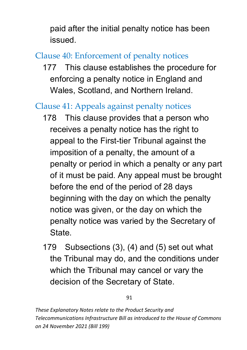paid after the initial penalty notice has been issued.

# Clause 40: Enforcement of penalty notices

177 This clause establishes the procedure for enforcing a penalty notice in England and Wales, Scotland, and Northern Ireland.

# Clause 41: Appeals against penalty notices

- 178 This clause provides that a person who receives a penalty notice has the right to appeal to the First-tier Tribunal against the imposition of a penalty, the amount of a penalty or period in which a penalty or any part of it must be paid. Any appeal must be brought before the end of the period of 28 days beginning with the day on which the penalty notice was given, or the day on which the penalty notice was varied by the Secretary of State.
- 179 Subsections (3), (4) and (5) set out what the Tribunal may do, and the conditions under which the Tribunal may cancel or vary the decision of the Secretary of State.

91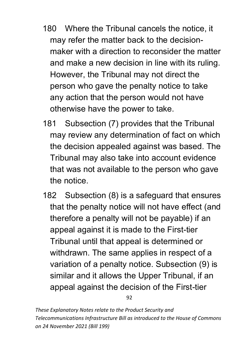- 180 Where the Tribunal cancels the notice, it may refer the matter back to the decisionmaker with a direction to reconsider the matter and make a new decision in line with its ruling. However, the Tribunal may not direct the person who gave the penalty notice to take any action that the person would not have otherwise have the power to take.
- 181 Subsection (7) provides that the Tribunal may review any determination of fact on which the decision appealed against was based. The Tribunal may also take into account evidence that was not available to the person who gave the notice.
- 182 Subsection (8) is a safeguard that ensures that the penalty notice will not have effect (and therefore a penalty will not be payable) if an appeal against it is made to the First-tier Tribunal until that appeal is determined or withdrawn. The same applies in respect of a variation of a penalty notice. Subsection (9) is similar and it allows the Upper Tribunal, if an appeal against the decision of the First-tier

92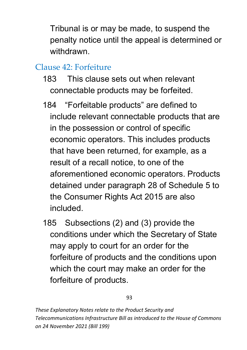Tribunal is or may be made, to suspend the penalty notice until the appeal is determined or withdrawn.

### Clause 42: Forfeiture

- 183 This clause sets out when relevant connectable products may be forfeited.
- 184 "Forfeitable products" are defined to include relevant connectable products that are in the possession or control of specific economic operators. This includes products that have been returned, for example, as a result of a recall notice, to one of the aforementioned economic operators. Products detained under paragraph 28 of Schedule 5 to the Consumer Rights Act 2015 are also included.
- 185 Subsections (2) and (3) provide the conditions under which the Secretary of State may apply to court for an order for the forfeiture of products and the conditions upon which the court may make an order for the forfeiture of products.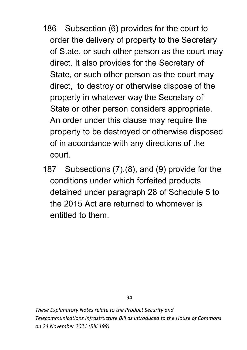- 186 Subsection (6) provides for the court to order the delivery of property to the Secretary of State, or such other person as the court may direct. It also provides for the Secretary of State, or such other person as the court may direct, to destroy or otherwise dispose of the property in whatever way the Secretary of State or other person considers appropriate. An order under this clause may require the property to be destroyed or otherwise disposed of in accordance with any directions of the court.
- 187 Subsections (7),(8), and (9) provide for the conditions under which forfeited products detained under paragraph 28 of Schedule 5 to the 2015 Act are returned to whomever is entitled to them.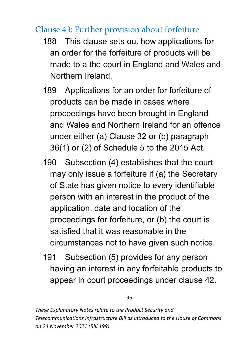### Clause 43: Further provision about forfeiture

- 188 This clause sets out how applications for an order for the forfeiture of products will be made to a the court in England and Wales and Northern Ireland.
- 189 Applications for an order for forfeiture of products can be made in cases where proceedings have been brought in England and Wales and Northern Ireland for an offence under either (a) Clause 32 or (b) paragraph 36(1) or (2) of Schedule 5 to the 2015 Act.
- 190 Subsection (4) establishes that the court may only issue a forfeiture if (a) the Secretary of State has given notice to every identifiable person with an interest in the product of the application, date and location of the proceedings for forfeiture, or (b) the court is satisfied that it was reasonable in the circumstances not to have given such notice.
- 191 Subsection (5) provides for any person having an interest in any forfeitable products to appear in court proceedings under clause 42.

95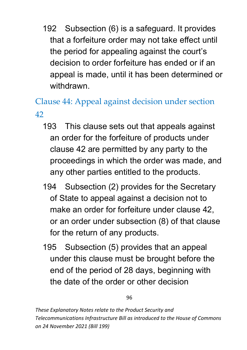192 Subsection (6) is a safeguard. It provides that a forfeiture order may not take effect until the period for appealing against the court's decision to order forfeiture has ended or if an appeal is made, until it has been determined or withdrawn.

Clause 44: Appeal against decision under section 42

- 193 This clause sets out that appeals against an order for the forfeiture of products under clause 42 are permitted by any party to the proceedings in which the order was made, and any other parties entitled to the products.
- 194 Subsection (2) provides for the Secretary of State to appeal against a decision not to make an order for forfeiture under clause 42, or an order under subsection (8) of that clause for the return of any products.
- 195 Subsection (5) provides that an appeal under this clause must be brought before the end of the period of 28 days, beginning with the date of the order or other decision

96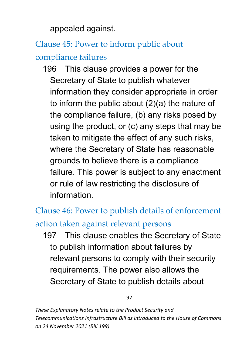appealed against.

# Clause 45: Power to inform public about compliance failures

196 This clause provides a power for the Secretary of State to publish whatever information they consider appropriate in order to inform the public about (2)(a) the nature of the compliance failure, (b) any risks posed by using the product, or (c) any steps that may be taken to mitigate the effect of any such risks, where the Secretary of State has reasonable grounds to believe there is a compliance failure. This power is subject to any enactment or rule of law restricting the disclosure of information.

Clause 46: Power to publish details of enforcement action taken against relevant persons

197 This clause enables the Secretary of State to publish information about failures by relevant persons to comply with their security requirements. The power also allows the Secretary of State to publish details about

97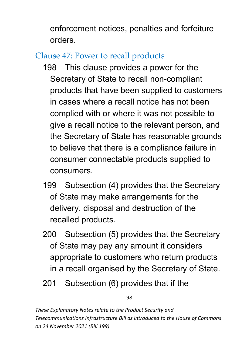enforcement notices, penalties and forfeiture orders.

# Clause 47: Power to recall products

- 198 This clause provides a power for the Secretary of State to recall non-compliant products that have been supplied to customers in cases where a recall notice has not been complied with or where it was not possible to give a recall notice to the relevant person, and the Secretary of State has reasonable grounds to believe that there is a compliance failure in consumer connectable products supplied to consumers.
- 199 Subsection (4) provides that the Secretary of State may make arrangements for the delivery, disposal and destruction of the recalled products.
- 200 Subsection (5) provides that the Secretary of State may pay any amount it considers appropriate to customers who return products in a recall organised by the Secretary of State.
- 201 Subsection (6) provides that if the

98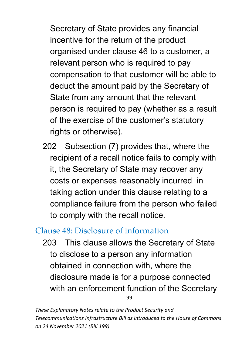Secretary of State provides any financial incentive for the return of the product organised under clause 46 to a customer, a relevant person who is required to pay compensation to that customer will be able to deduct the amount paid by the Secretary of State from any amount that the relevant person is required to pay (whether as a result of the exercise of the customer's statutory rights or otherwise).

202 Subsection (7) provides that, where the recipient of a recall notice fails to comply with it, the Secretary of State may recover any costs or expenses reasonably incurred in taking action under this clause relating to a compliance failure from the person who failed to comply with the recall notice.

## Clause 48: Disclosure of information

99 203 This clause allows the Secretary of State to disclose to a person any information obtained in connection with, where the disclosure made is for a purpose connected with an enforcement function of the Secretary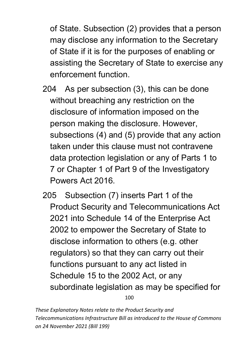of State. Subsection (2) provides that a person may disclose any information to the Secretary of State if it is for the purposes of enabling or assisting the Secretary of State to exercise any enforcement function.

- 204 As per subsection (3), this can be done without breaching any restriction on the disclosure of information imposed on the person making the disclosure. However, subsections (4) and (5) provide that any action taken under this clause must not contravene data protection legislation or any of Parts 1 to 7 or Chapter 1 of Part 9 of the Investigatory Powers Act 2016.
- 100 205 Subsection (7) inserts Part 1 of the Product Security and Telecommunications Act 2021 into Schedule 14 of the Enterprise Act 2002 to empower the Secretary of State to disclose information to others (e.g. other regulators) so that they can carry out their functions pursuant to any act listed in Schedule 15 to the 2002 Act, or any subordinate legislation as may be specified for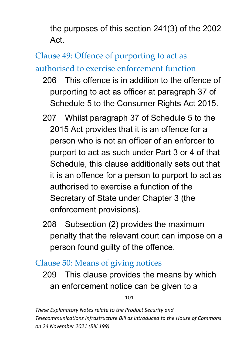the purposes of this section 241(3) of the 2002 Act.

# Clause 49: Offence of purporting to act as

authorised to exercise enforcement function

- 206 This offence is in addition to the offence of purporting to act as officer at paragraph 37 of Schedule 5 to the Consumer Rights Act 2015.
- 207 Whilst paragraph 37 of Schedule 5 to the 2015 Act provides that it is an offence for a person who is not an officer of an enforcer to purport to act as such under Part 3 or 4 of that Schedule, this clause additionally sets out that it is an offence for a person to purport to act as authorised to exercise a function of the Secretary of State under Chapter 3 (the enforcement provisions).
- 208 Subsection (2) provides the maximum penalty that the relevant court can impose on a person found guilty of the offence.

### Clause 50: Means of giving notices

209 This clause provides the means by which an enforcement notice can be given to a

101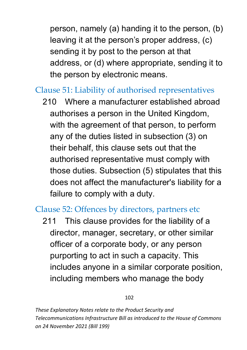person, namely (a) handing it to the person, (b) leaving it at the person's proper address, (c) sending it by post to the person at that address, or (d) where appropriate, sending it to the person by electronic means.

### Clause 51: Liability of authorised representatives

210 Where a manufacturer established abroad authorises a person in the United Kingdom, with the agreement of that person, to perform any of the duties listed in subsection (3) on their behalf, this clause sets out that the authorised representative must comply with those duties. Subsection (5) stipulates that this does not affect the manufacturer's liability for a failure to comply with a duty.

### Clause 52: Offences by directors, partners etc

211 This clause provides for the liability of a director, manager, secretary, or other similar officer of a corporate body, or any person purporting to act in such a capacity. This includes anyone in a similar corporate position, including members who manage the body

#### 102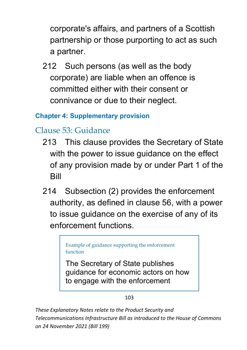corporate's affairs, and partners of a Scottish partnership or those purporting to act as such a partner.

212 Such persons (as well as the body corporate) are liable when an offence is committed either with their consent or connivance or due to their neglect.

#### **Chapter 4: Supplementary provision**

# Clause 53: Guidance

- 213 This clause provides the Secretary of State with the power to issue guidance on the effect of any provision made by or under Part 1 of the Bill
- 214 Subsection (2) provides the enforcement authority, as defined in clause 56, with a power to issue guidance on the exercise of any of its enforcement functions.

Example of guidance supporting the enforcement function

The Secretary of State publishes guidance for economic actors on how to engage with the enforcement

103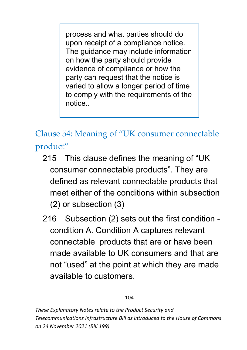process and what parties should do upon receipt of a compliance notice. The guidance may include information on how the party should provide evidence of compliance or how the party can request that the notice is varied to allow a longer period of time to comply with the requirements of the notice..

Clause 54: Meaning of "UK consumer connectable product"

- 215 This clause defines the meaning of "UK consumer connectable products". They are defined as relevant connectable products that meet either of the conditions within subsection (2) or subsection (3)
- 216 Subsection (2) sets out the first condition condition A. Condition A captures relevant connectable products that are or have been made available to UK consumers and that are not "used" at the point at which they are made available to customers.

#### 104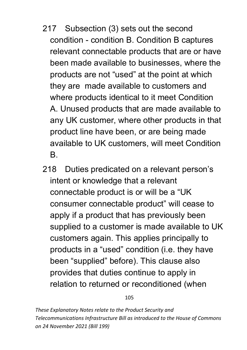- 217 Subsection (3) sets out the second condition - condition B. Condition B captures relevant connectable products that are or have been made available to businesses, where the products are not "used" at the point at which they are made available to customers and where products identical to it meet Condition A. Unused products that are made available to any UK customer, where other products in that product line have been, or are being made available to UK customers, will meet Condition B.
- 218 Duties predicated on a relevant person's intent or knowledge that a relevant connectable product is or will be a "UK consumer connectable product" will cease to apply if a product that has previously been supplied to a customer is made available to UK customers again. This applies principally to products in a "used" condition (i.e. they have been "supplied" before). This clause also provides that duties continue to apply in relation to returned or reconditioned (when

105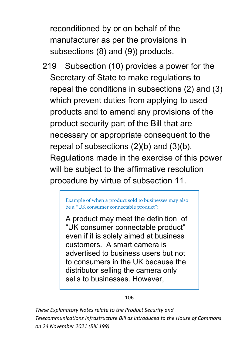reconditioned by or on behalf of the manufacturer as per the provisions in subsections (8) and (9)) products.

219 Subsection (10) provides a power for the Secretary of State to make regulations to repeal the conditions in subsections (2) and (3) which prevent duties from applying to used products and to amend any provisions of the product security part of the Bill that are necessary or appropriate consequent to the repeal of subsections (2)(b) and (3)(b). Regulations made in the exercise of this power will be subject to the affirmative resolution procedure by virtue of subsection 11.

> Example of when a product sold to businesses may also be a "UK consumer connectable product":

> A product may meet the definition of "UK consumer connectable product" even if it is solely aimed at business customers. A smart camera is advertised to business users but not to consumers in the UK because the distributor selling the camera only sells to businesses. However,

> > 106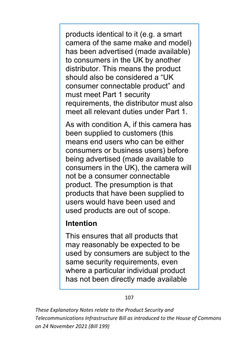products identical to it (e.g. a smart camera of the same make and model) has been advertised (made available) to consumers in the UK by another distributor. This means the product should also be considered a "UK consumer connectable product" and must meet Part 1 security requirements, the distributor must also meet all relevant duties under Part 1.

As with condition A, if this camera has been supplied to customers (this means end users who can be either consumers or business users) before being advertised (made available to consumers in the UK), the camera will not be a consumer connectable product. The presumption is that products that have been supplied to users would have been used and used products are out of scope.

#### **Intention**

This ensures that all products that may reasonably be expected to be used by consumers are subject to the same security requirements, even where a particular individual product has not been directly made available

#### 107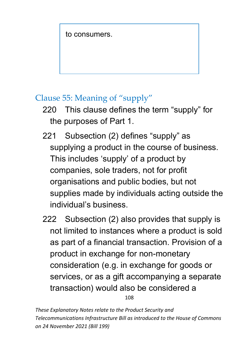to consumers.

## Clause 55: Meaning of "supply"

- 220 This clause defines the term "supply" for the purposes of Part 1.
- 221 Subsection (2) defines "supply" as supplying a product in the course of business. This includes 'supply' of a product by companies, sole traders, not for profit organisations and public bodies, but not supplies made by individuals acting outside the individual's business.
- 222 Subsection (2) also provides that supply is not limited to instances where a product is sold as part of a financial transaction. Provision of a product in exchange for non-monetary consideration (e.g. in exchange for goods or services, or as a gift accompanying a separate transaction) would also be considered a

108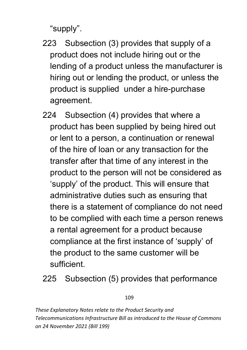"supply".

- 223 Subsection (3) provides that supply of a product does not include hiring out or the lending of a product unless the manufacturer is hiring out or lending the product, or unless the product is supplied under a hire-purchase agreement.
- 224 Subsection (4) provides that where a product has been supplied by being hired out or lent to a person, a continuation or renewal of the hire of loan or any transaction for the transfer after that time of any interest in the product to the person will not be considered as 'supply' of the product. This will ensure that administrative duties such as ensuring that there is a statement of compliance do not need to be complied with each time a person renews a rental agreement for a product because compliance at the first instance of 'supply' of the product to the same customer will be sufficient.
- 225 Subsection (5) provides that performance

### 109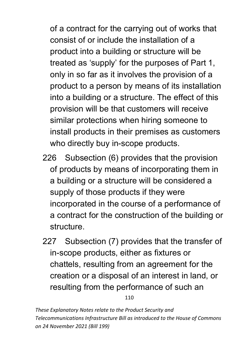of a contract for the carrying out of works that consist of or include the installation of a product into a building or structure will be treated as 'supply' for the purposes of Part 1, only in so far as it involves the provision of a product to a person by means of its installation into a building or a structure. The effect of this provision will be that customers will receive similar protections when hiring someone to install products in their premises as customers who directly buy in-scope products.

- 226 Subsection (6) provides that the provision of products by means of incorporating them in a building or a structure will be considered a supply of those products if they were incorporated in the course of a performance of a contract for the construction of the building or structure.
- 227 Subsection (7) provides that the transfer of in-scope products, either as fixtures or chattels, resulting from an agreement for the creation or a disposal of an interest in land, or resulting from the performance of such an

110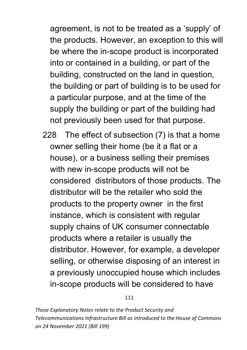agreement, is not to be treated as a 'supply' of the products. However, an exception to this will be where the in-scope product is incorporated into or contained in a building, or part of the building, constructed on the land in question, the building or part of building is to be used for a particular purpose, and at the time of the supply the building or part of the building had not previously been used for that purpose.

228 The effect of subsection (7) is that a home owner selling their home (be it a flat or a house), or a business selling their premises with new in-scope products will not be considered distributors of those products. The distributor will be the retailer who sold the products to the property owner in the first instance, which is consistent with regular supply chains of UK consumer connectable products where a retailer is usually the distributor. However, for example, a developer selling, or otherwise disposing of an interest in a previously unoccupied house which includes in-scope products will be considered to have

111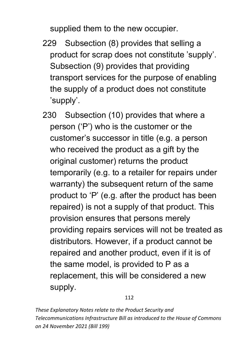supplied them to the new occupier.

- 229 Subsection (8) provides that selling a product for scrap does not constitute 'supply'. Subsection (9) provides that providing transport services for the purpose of enabling the supply of a product does not constitute 'supply'.
- 230 Subsection (10) provides that where a person ('P') who is the customer or the customer's successor in title (e.g. a person who received the product as a gift by the original customer) returns the product temporarily (e.g. to a retailer for repairs under warranty) the subsequent return of the same product to 'P' (e.g. after the product has been repaired) is not a supply of that product. This provision ensures that persons merely providing repairs services will not be treated as distributors. However, if a product cannot be repaired and another product, even if it is of the same model, is provided to P as a replacement, this will be considered a new supply.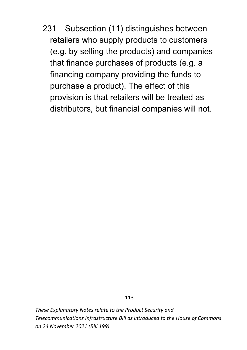231 Subsection (11) distinguishes between retailers who supply products to customers (e.g. by selling the products) and companies that finance purchases of products (e.g. a financing company providing the funds to purchase a product). The effect of this provision is that retailers will be treated as distributors, but financial companies will not.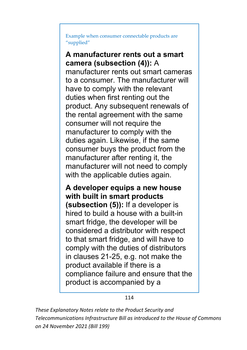Example when consumer connectable products are "supplied"

### **A manufacturer rents out a smart camera (subsection (4)):** A

manufacturer rents out smart cameras to a consumer. The manufacturer will have to comply with the relevant duties when first renting out the product. Any subsequent renewals of the rental agreement with the same consumer will not require the manufacturer to comply with the duties again. Likewise, if the same consumer buys the product from the manufacturer after renting it, the manufacturer will not need to comply with the applicable duties again.

**A developer equips a new house with built in smart products (subsection (5)):** If a developer is hired to build a house with a built-in smart fridge, the developer will be considered a distributor with respect to that smart fridge, and will have to comply with the duties of distributors in clauses 21-25, e.g. not make the product available if there is a compliance failure and ensure that the product is accompanied by a

114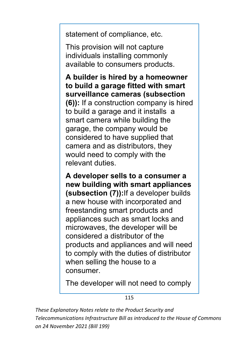statement of compliance, etc.

This provision will not capture individuals installing commonly available to consumers products.

**A builder is hired by a homeowner to build a garage fitted with smart surveillance cameras (subsection (6)):** If a construction company is hired to build a garage and it installs a smart camera while building the garage, the company would be considered to have supplied that camera and as distributors, they would need to comply with the relevant duties.

**A developer sells to a consumer a new building with smart appliances (subsection (7)):**If a developer builds a new house with incorporated and freestanding smart products and appliances such as smart locks and microwaves, the developer will be considered a distributor of the products and appliances and will need to comply with the duties of distributor when selling the house to a consumer.

The developer will not need to comply

115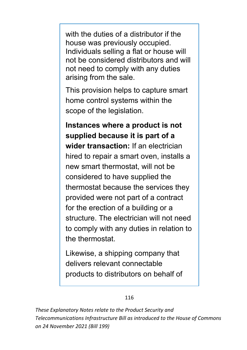with the duties of a distributor if the house was previously occupied. Individuals selling a flat or house will not be considered distributors and will not need to comply with any duties arising from the sale.

This provision helps to capture smart home control systems within the scope of the legislation.

**Instances where a product is not supplied because it is part of a wider transaction:** If an electrician hired to repair a smart oven, installs a new smart thermostat, will not be considered to have supplied the thermostat because the services they provided were not part of a contract for the erection of a building or a structure. The electrician will not need to comply with any duties in relation to the thermostat.

Likewise, a shipping company that delivers relevant connectable products to distributors on behalf of

### 116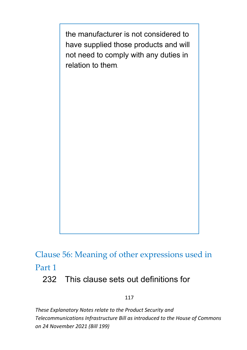the manufacturer is not considered to have supplied those products and will not need to comply with any duties in relation to them.

Clause 56: Meaning of other expressions used in Part 1

## 232 This clause sets out definitions for

117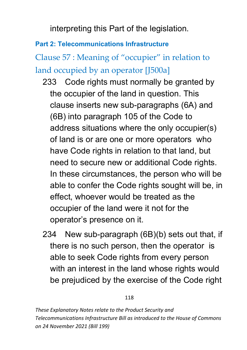interpreting this Part of the legislation.

## **Part 2: Telecommunications Infrastructure**

Clause 57 : Meaning of "occupier" in relation to land occupied by an operator [J500a]

- 233 Code rights must normally be granted by the occupier of the land in question. This clause inserts new sub-paragraphs (6A) and (6B) into paragraph 105 of the Code to address situations where the only occupier(s) of land is or are one or more operators who have Code rights in relation to that land, but need to secure new or additional Code rights. In these circumstances, the person who will be able to confer the Code rights sought will be, in effect, whoever would be treated as the occupier of the land were it not for the operator's presence on it.
- 234 New sub-paragraph (6B)(b) sets out that, if there is no such person, then the operator is able to seek Code rights from every person with an interest in the land whose rights would be prejudiced by the exercise of the Code right

### 118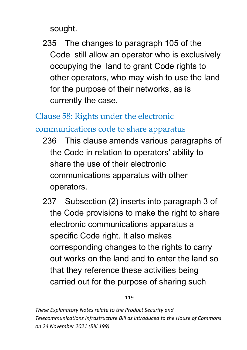sought.

235 The changes to paragraph 105 of the Code still allow an operator who is exclusively occupying the land to grant Code rights to other operators, who may wish to use the land for the purpose of their networks, as is currently the case.

Clause 58: Rights under the electronic

communications code to share apparatus

- 236 This clause amends various paragraphs of the Code in relation to operators' ability to share the use of their electronic communications apparatus with other operators.
- 237 Subsection (2) inserts into paragraph 3 of the Code provisions to make the right to share electronic communications apparatus a specific Code right. It also makes corresponding changes to the rights to carry out works on the land and to enter the land so that they reference these activities being carried out for the purpose of sharing such

119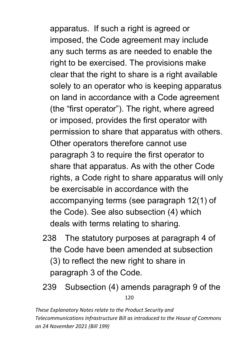apparatus. If such a right is agreed or imposed, the Code agreement may include any such terms as are needed to enable the right to be exercised. The provisions make clear that the right to share is a right available solely to an operator who is keeping apparatus on land in accordance with a Code agreement (the "first operator"). The right, where agreed or imposed, provides the first operator with permission to share that apparatus with others. Other operators therefore cannot use paragraph 3 to require the first operator to share that apparatus. As with the other Code rights, a Code right to share apparatus will only be exercisable in accordance with the accompanying terms (see paragraph 12(1) of the Code). See also subsection (4) which deals with terms relating to sharing.

- 238 The statutory purposes at paragraph 4 of the Code have been amended at subsection (3) to reflect the new right to share in paragraph 3 of the Code.
- 120 239 Subsection (4) amends paragraph 9 of the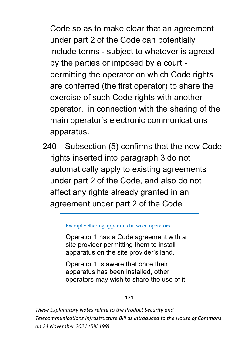Code so as to make clear that an agreement under part 2 of the Code can potentially include terms - subject to whatever is agreed by the parties or imposed by a court permitting the operator on which Code rights are conferred (the first operator) to share the exercise of such Code rights with another operator, in connection with the sharing of the main operator's electronic communications apparatus.

240 Subsection (5) confirms that the new Code rights inserted into paragraph 3 do not automatically apply to existing agreements under part 2 of the Code, and also do not affect any rights already granted in an agreement under part 2 of the Code.

### Example: Sharing apparatus between operators

Operator 1 has a Code agreement with a site provider permitting them to install apparatus on the site provider's land.

Operator 1 is aware that once their apparatus has been installed, other operators may wish to share the use of it.

### 121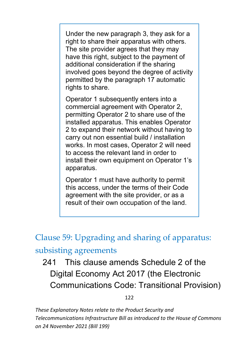Under the new paragraph 3, they ask for a right to share their apparatus with others. The site provider agrees that they may have this right, subject to the payment of additional consideration if the sharing involved goes beyond the degree of activity permitted by the paragraph 17 automatic rights to share.

Operator 1 subsequently enters into a commercial agreement with Operator 2, permitting Operator 2 to share use of the installed apparatus. This enables Operator 2 to expand their network without having to carry out non essential build / installation works. In most cases, Operator 2 will need to access the relevant land in order to install their own equipment on Operator 1's apparatus.

Operator 1 must have authority to permit this access, under the terms of their Code agreement with the site provider, or as a result of their own occupation of the land.

Clause 59: Upgrading and sharing of apparatus: subsisting agreements

# 241 This clause amends Schedule 2 of the Digital Economy Act 2017 (the Electronic Communications Code: Transitional Provision)

122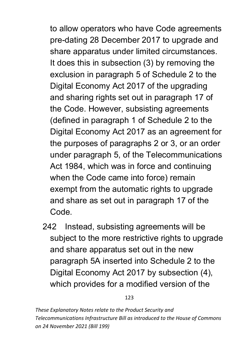to allow operators who have Code agreements pre-dating 28 December 2017 to upgrade and share apparatus under limited circumstances. It does this in subsection (3) by removing the exclusion in paragraph 5 of Schedule 2 to the Digital Economy Act 2017 of the upgrading and sharing rights set out in paragraph 17 of the Code. However, subsisting agreements (defined in paragraph 1 of Schedule 2 to the Digital Economy Act 2017 as an agreement for the purposes of paragraphs 2 or 3, or an order under paragraph 5, of the Telecommunications Act 1984, which was in force and continuing when the Code came into force) remain exempt from the automatic rights to upgrade and share as set out in paragraph 17 of the Code.

242 Instead, subsisting agreements will be subject to the more restrictive rights to upgrade and share apparatus set out in the new paragraph 5A inserted into Schedule 2 to the Digital Economy Act 2017 by subsection (4), which provides for a modified version of the

123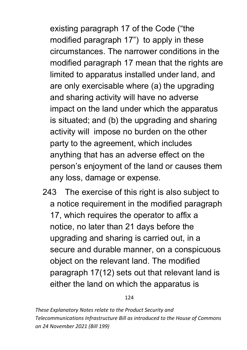existing paragraph 17 of the Code ("the modified paragraph 17") to apply in these circumstances. The narrower conditions in the modified paragraph 17 mean that the rights are limited to apparatus installed under land, and are only exercisable where (a) the upgrading and sharing activity will have no adverse impact on the land under which the apparatus is situated; and (b) the upgrading and sharing activity will impose no burden on the other party to the agreement, which includes anything that has an adverse effect on the person's enjoyment of the land or causes them any loss, damage or expense.

243 The exercise of this right is also subject to a notice requirement in the modified paragraph 17, which requires the operator to affix a notice, no later than 21 days before the upgrading and sharing is carried out, in a secure and durable manner, on a conspicuous object on the relevant land. The modified paragraph 17(12) sets out that relevant land is either the land on which the apparatus is

124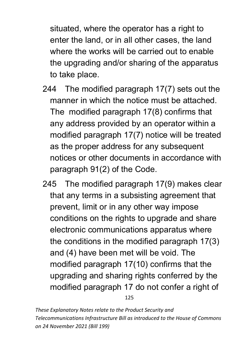situated, where the operator has a right to enter the land, or in all other cases, the land where the works will be carried out to enable the upgrading and/or sharing of the apparatus to take place.

- 244 The modified paragraph 17(7) sets out the manner in which the notice must be attached. The modified paragraph 17(8) confirms that any address provided by an operator within a modified paragraph 17(7) notice will be treated as the proper address for any subsequent notices or other documents in accordance with paragraph 91(2) of the Code.
- 125 245 The modified paragraph 17(9) makes clear that any terms in a subsisting agreement that prevent, limit or in any other way impose conditions on the rights to upgrade and share electronic communications apparatus where the conditions in the modified paragraph 17(3) and (4) have been met will be void. The modified paragraph 17(10) confirms that the upgrading and sharing rights conferred by the modified paragraph 17 do not confer a right of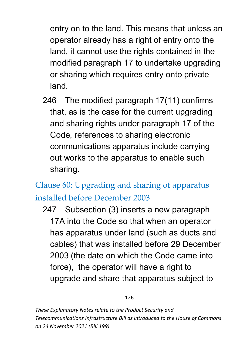entry on to the land. This means that unless an operator already has a right of entry onto the land, it cannot use the rights contained in the modified paragraph 17 to undertake upgrading or sharing which requires entry onto private land.

246 The modified paragraph 17(11) confirms that, as is the case for the current upgrading and sharing rights under paragraph 17 of the Code, references to sharing electronic communications apparatus include carrying out works to the apparatus to enable such sharing.

Clause 60: Upgrading and sharing of apparatus installed before December 2003

247 Subsection (3) inserts a new paragraph 17A into the Code so that when an operator has apparatus under land (such as ducts and cables) that was installed before 29 December 2003 (the date on which the Code came into force), the operator will have a right to upgrade and share that apparatus subject to

126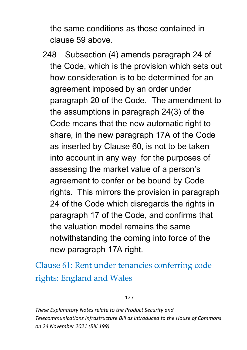the same conditions as those contained in clause 59 above.

248 Subsection (4) amends paragraph 24 of the Code, which is the provision which sets out how consideration is to be determined for an agreement imposed by an order under paragraph 20 of the Code. The amendment to the assumptions in paragraph 24(3) of the Code means that the new automatic right to share, in the new paragraph 17A of the Code as inserted by Clause 60, is not to be taken into account in any way for the purposes of assessing the market value of a person's agreement to confer or be bound by Code rights. This mirrors the provision in paragraph 24 of the Code which disregards the rights in paragraph 17 of the Code, and confirms that the valuation model remains the same notwithstanding the coming into force of the new paragraph 17A right.

Clause 61: Rent under tenancies conferring code rights: England and Wales

### 127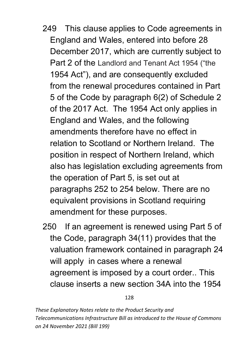- 249 This clause applies to Code agreements in England and Wales, entered into before 28 December 2017, which are currently subject to Part 2 of the Landlord and Tenant Act 1954 ("the 1954 Act"), and are consequently excluded from the renewal procedures contained in Part 5 of the Code by paragraph 6(2) of Schedule 2 of the 2017 Act. The 1954 Act only applies in England and Wales, and the following amendments therefore have no effect in relation to Scotland or Northern Ireland. The position in respect of Northern Ireland, which also has legislation excluding agreements from the operation of Part 5, is set out at paragraphs 252 to 254 below. There are no equivalent provisions in Scotland requiring amendment for these purposes.
- 250 If an agreement is renewed using Part 5 of the Code, paragraph 34(11) provides that the valuation framework contained in paragraph 24 will apply in cases where a renewal agreement is imposed by a court order.. This clause inserts a new section 34A into the 1954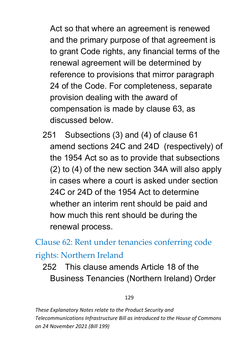Act so that where an agreement is renewed and the primary purpose of that agreement is to grant Code rights, any financial terms of the renewal agreement will be determined by reference to provisions that mirror paragraph 24 of the Code. For completeness, separate provision dealing with the award of compensation is made by clause 63, as discussed below.

251 Subsections (3) and (4) of clause 61 amend sections 24C and 24D (respectively) of the 1954 Act so as to provide that subsections (2) to (4) of the new section 34A will also apply in cases where a court is asked under section 24C or 24D of the 1954 Act to determine whether an interim rent should be paid and how much this rent should be during the renewal process.

Clause 62: Rent under tenancies conferring code rights: Northern Ireland

252 This clause amends Article 18 of the Business Tenancies (Northern Ireland) Order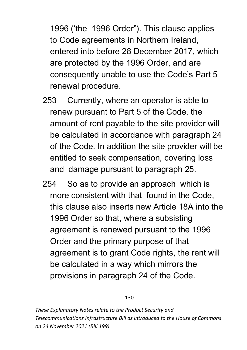1996 ('the 1996 Order"). This clause applies to Code agreements in Northern Ireland, entered into before 28 December 2017, which are protected by the 1996 Order, and are consequently unable to use the Code's Part 5 renewal procedure.

- 253 Currently, where an operator is able to renew pursuant to Part 5 of the Code, the amount of rent payable to the site provider will be calculated in accordance with paragraph 24 of the Code. In addition the site provider will be entitled to seek compensation, covering loss and damage pursuant to paragraph 25.
- 254 So as to provide an approach which is more consistent with that found in the Code, this clause also inserts new Article 18A into the 1996 Order so that, where a subsisting agreement is renewed pursuant to the 1996 Order and the primary purpose of that agreement is to grant Code rights, the rent will be calculated in a way which mirrors the provisions in paragraph 24 of the Code.

### 130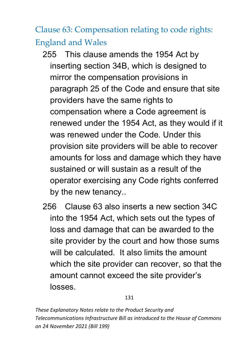Clause 63: Compensation relating to code rights: England and Wales

- 255 This clause amends the 1954 Act by inserting section 34B, which is designed to mirror the compensation provisions in paragraph 25 of the Code and ensure that site providers have the same rights to compensation where a Code agreement is renewed under the 1954 Act, as they would if it was renewed under the Code. Under this provision site providers will be able to recover amounts for loss and damage which they have sustained or will sustain as a result of the operator exercising any Code rights conferred by the new tenancy..
- 256 Clause 63 also inserts a new section 34C into the 1954 Act, which sets out the types of loss and damage that can be awarded to the site provider by the court and how those sums will be calculated. It also limits the amount which the site provider can recover, so that the amount cannot exceed the site provider's losses.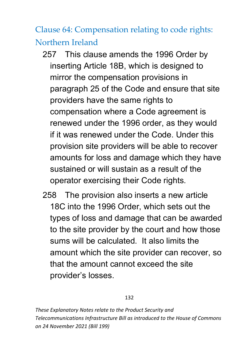Clause 64: Compensation relating to code rights: Northern Ireland

- 257 This clause amends the 1996 Order by inserting Article 18B, which is designed to mirror the compensation provisions in paragraph 25 of the Code and ensure that site providers have the same rights to compensation where a Code agreement is renewed under the 1996 order, as they would if it was renewed under the Code. Under this provision site providers will be able to recover amounts for loss and damage which they have sustained or will sustain as a result of the operator exercising their Code rights.
- 258 The provision also inserts a new article 18C into the 1996 Order, which sets out the types of loss and damage that can be awarded to the site provider by the court and how those sums will be calculated. It also limits the amount which the site provider can recover, so that the amount cannot exceed the site provider's losses.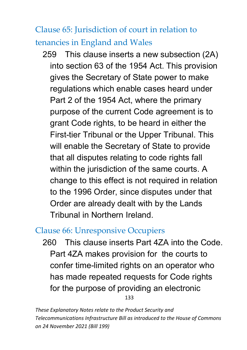Clause 65: Jurisdiction of court in relation to tenancies in England and Wales

259 This clause inserts a new subsection (2A) into section 63 of the 1954 Act. This provision gives the Secretary of State power to make regulations which enable cases heard under Part 2 of the 1954 Act, where the primary purpose of the current Code agreement is to grant Code rights, to be heard in either the First-tier Tribunal or the Upper Tribunal. This will enable the Secretary of State to provide that all disputes relating to code rights fall within the jurisdiction of the same courts. A change to this effect is not required in relation to the 1996 Order, since disputes under that Order are already dealt with by the Lands Tribunal in Northern Ireland.

## Clause 66: Unresponsive Occupiers

133 260 This clause inserts Part 4ZA into the Code. Part 4ZA makes provision for the courts to confer time-limited rights on an operator who has made repeated requests for Code rights for the purpose of providing an electronic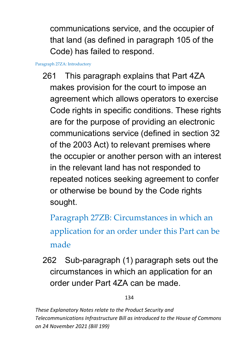communications service, and the occupier of that land (as defined in paragraph 105 of the Code) has failed to respond.

Paragraph 27ZA: Introductory

261 This paragraph explains that Part 4ZA makes provision for the court to impose an agreement which allows operators to exercise Code rights in specific conditions. These rights are for the purpose of providing an electronic communications service (defined in section 32 of the 2003 Act) to relevant premises where the occupier or another person with an interest in the relevant land has not responded to repeated notices seeking agreement to confer or otherwise be bound by the Code rights sought.

Paragraph 27ZB: Circumstances in which an application for an order under this Part can be made

262 Sub-paragraph (1) paragraph sets out the circumstances in which an application for an order under Part 4ZA can be made.

134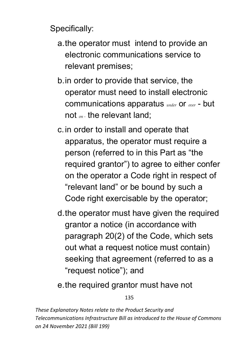Specifically:

- a.the operator must intend to provide an electronic communications service to relevant premises;
- b.in order to provide that service, the operator must need to install electronic communications apparatus *under* or *over* - but not *on -* the relevant land;
- c.in order to install and operate that apparatus, the operator must require a person (referred to in this Part as "the required grantor") to agree to either confer on the operator a Code right in respect of "relevant land" or be bound by such a Code right exercisable by the operator;
- d.the operator must have given the required grantor a notice (in accordance with paragraph 20(2) of the Code, which sets out what a request notice must contain) seeking that agreement (referred to as a "request notice"); and

e.the required grantor must have not

135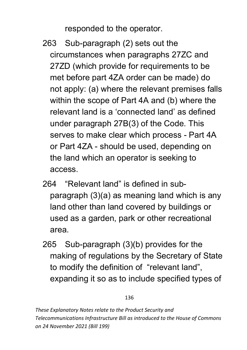responded to the operator.

- 263 Sub-paragraph (2) sets out the circumstances when paragraphs 27ZC and 27ZD (which provide for requirements to be met before part 4ZA order can be made) do not apply: (a) where the relevant premises falls within the scope of Part 4A and (b) where the relevant land is a 'connected land' as defined under paragraph 27B(3) of the Code. This serves to make clear which process - Part 4A or Part 4ZA - should be used, depending on the land which an operator is seeking to access.
- 264 "Relevant land" is defined in subparagraph (3)(a) as meaning land which is any land other than land covered by buildings or used as a garden, park or other recreational area.
- 265 Sub-paragraph (3)(b) provides for the making of regulations by the Secretary of State to modify the definition of "relevant land", expanding it so as to include specified types of

### 136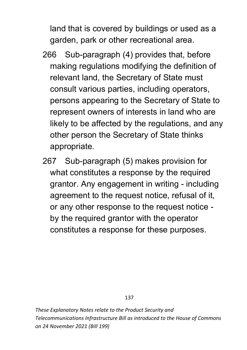land that is covered by buildings or used as a garden, park or other recreational area.

- 266 Sub-paragraph (4) provides that, before making regulations modifying the definition of relevant land, the Secretary of State must consult various parties, including operators, persons appearing to the Secretary of State to represent owners of interests in land who are likely to be affected by the regulations, and any other person the Secretary of State thinks appropriate.
- 267 Sub-paragraph (5) makes provision for what constitutes a response by the required grantor. Any engagement in writing - including agreement to the request notice, refusal of it, or any other response to the request notice by the required grantor with the operator constitutes a response for these purposes.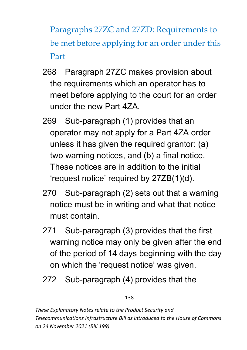Paragraphs 27ZC and 27ZD: Requirements to be met before applying for an order under this Part

- 268 Paragraph 27ZC makes provision about the requirements which an operator has to meet before applying to the court for an order under the new Part 4ZA.
- 269 Sub-paragraph (1) provides that an operator may not apply for a Part 4ZA order unless it has given the required grantor: (a) two warning notices, and (b) a final notice. These notices are in addition to the initial 'request notice' required by 27ZB(1)(d).
- 270 Sub-paragraph (2) sets out that a warning notice must be in writing and what that notice must contain.
- 271 Sub-paragraph (3) provides that the first warning notice may only be given after the end of the period of 14 days beginning with the day on which the 'request notice' was given.
- 272 Sub-paragraph (4) provides that the

### 138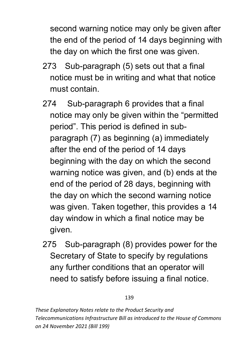second warning notice may only be given after the end of the period of 14 days beginning with the day on which the first one was given.

- 273 Sub-paragraph (5) sets out that a final notice must be in writing and what that notice must contain.
- 274 Sub-paragraph 6 provides that a final notice may only be given within the "permitted period". This period is defined in subparagraph (7) as beginning (a) immediately after the end of the period of 14 days beginning with the day on which the second warning notice was given, and (b) ends at the end of the period of 28 days, beginning with the day on which the second warning notice was given. Taken together, this provides a 14 day window in which a final notice may be given.
- 275 Sub-paragraph (8) provides power for the Secretary of State to specify by regulations any further conditions that an operator will need to satisfy before issuing a final notice.

### 139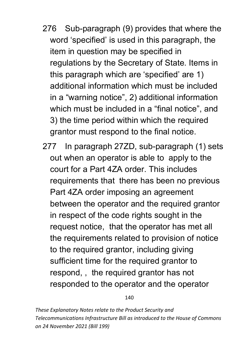- 276 Sub-paragraph (9) provides that where the word 'specified' is used in this paragraph, the item in question may be specified in regulations by the Secretary of State. Items in this paragraph which are 'specified' are 1) additional information which must be included in a "warning notice", 2) additional information which must be included in a "final notice", and 3) the time period within which the required grantor must respond to the final notice.
- 277 In paragraph 27ZD, sub-paragraph (1) sets out when an operator is able to apply to the court for a Part 4ZA order. This includes requirements that there has been no previous Part 4ZA order imposing an agreement between the operator and the required grantor in respect of the code rights sought in the request notice, that the operator has met all the requirements related to provision of notice to the required grantor, including giving sufficient time for the required grantor to respond, , the required grantor has not responded to the operator and the operator

140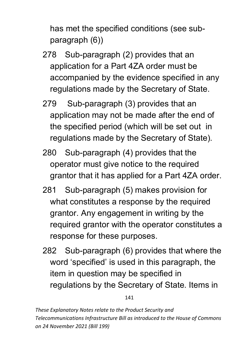has met the specified conditions (see subparagraph (6))

- 278 Sub-paragraph (2) provides that an application for a Part 4ZA order must be accompanied by the evidence specified in any regulations made by the Secretary of State.
- 279 Sub-paragraph (3) provides that an application may not be made after the end of the specified period (which will be set out in regulations made by the Secretary of State).
- 280 Sub-paragraph (4) provides that the operator must give notice to the required grantor that it has applied for a Part 4ZA order.
- 281 Sub-paragraph (5) makes provision for what constitutes a response by the required grantor. Any engagement in writing by the required grantor with the operator constitutes a response for these purposes.
- 282 Sub-paragraph (6) provides that where the word 'specified' is used in this paragraph, the item in question may be specified in regulations by the Secretary of State. Items in

141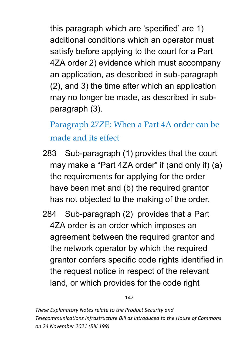this paragraph which are 'specified' are 1) additional conditions which an operator must satisfy before applying to the court for a Part 4ZA order 2) evidence which must accompany an application, as described in sub-paragraph (2), and 3) the time after which an application may no longer be made, as described in subparagraph (3).

Paragraph 27ZE: When a Part 4A order can be made and its effect

- 283 Sub-paragraph (1) provides that the court may make a "Part 4ZA order" if (and only if) (a) the requirements for applying for the order have been met and (b) the required grantor has not objected to the making of the order.
- 284 Sub-paragraph (2) provides that a Part 4ZA order is an order which imposes an agreement between the required grantor and the network operator by which the required grantor confers specific code rights identified in the request notice in respect of the relevant land, or which provides for the code right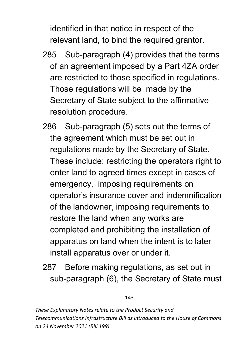identified in that notice in respect of the relevant land, to bind the required grantor.

- 285 Sub-paragraph (4) provides that the terms of an agreement imposed by a Part 4ZA order are restricted to those specified in regulations. Those regulations will be made by the Secretary of State subject to the affirmative resolution procedure.
- 286 Sub-paragraph (5) sets out the terms of the agreement which must be set out in regulations made by the Secretary of State. These include: restricting the operators right to enter land to agreed times except in cases of emergency, imposing requirements on operator's insurance cover and indemnification of the landowner, imposing requirements to restore the land when any works are completed and prohibiting the installation of apparatus on land when the intent is to later install apparatus over or under it.
- 287 Before making regulations, as set out in sub-paragraph (6), the Secretary of State must

### 143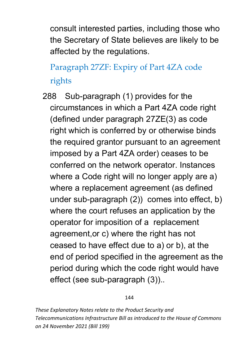consult interested parties, including those who the Secretary of State believes are likely to be affected by the regulations.

# Paragraph 27ZF: Expiry of Part 4ZA code rights

288 Sub-paragraph (1) provides for the circumstances in which a Part 4ZA code right (defined under paragraph 27ZE(3) as code right which is conferred by or otherwise binds the required grantor pursuant to an agreement imposed by a Part 4ZA order) ceases to be conferred on the network operator. Instances where a Code right will no longer apply are a) where a replacement agreement (as defined under sub-paragraph (2)) comes into effect, b) where the court refuses an application by the operator for imposition of a replacement agreement,or c) where the right has not ceased to have effect due to a) or b), at the end of period specified in the agreement as the period during which the code right would have effect (see sub-paragraph (3))..

#### 144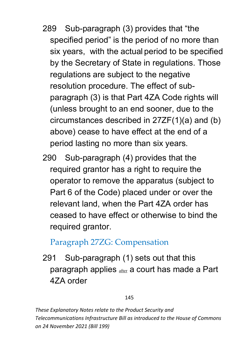- 289 Sub-paragraph (3) provides that "the specified period" is the period of no more than six years, with the actual period to be specified by the Secretary of State in regulations. Those regulations are subject to the negative resolution procedure. The effect of subparagraph (3) is that Part 4ZA Code rights will (unless brought to an end sooner, due to the circumstances described in 27ZF(1)(a) and (b) above) cease to have effect at the end of a period lasting no more than six years.
- 290 Sub-paragraph (4) provides that the required grantor has a right to require the operator to remove the apparatus (subject to Part 6 of the Code) placed under or over the relevant land, when the Part 4ZA order has ceased to have effect or otherwise to bind the required grantor.

## Paragraph 27ZG: Compensation

291 Sub-paragraph (1) sets out that this paragraph applies **after** a court has made a Part 4ZA order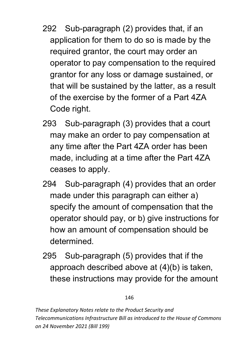- 292 Sub-paragraph (2) provides that, if an application for them to do so is made by the required grantor, the court may order an operator to pay compensation to the required grantor for any loss or damage sustained, or that will be sustained by the latter, as a result of the exercise by the former of a Part 4ZA Code right.
- 293 Sub-paragraph (3) provides that a court may make an order to pay compensation at any time after the Part 4ZA order has been made, including at a time after the Part 4ZA ceases to apply.
- 294 Sub-paragraph (4) provides that an order made under this paragraph can either a) specify the amount of compensation that the operator should pay, or b) give instructions for how an amount of compensation should be determined.
- 295 Sub-paragraph (5) provides that if the approach described above at (4)(b) is taken, these instructions may provide for the amount

#### 146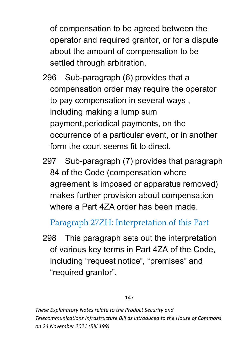of compensation to be agreed between the operator and required grantor, or for a dispute about the amount of compensation to be settled through arbitration.

- 296 Sub-paragraph (6) provides that a compensation order may require the operator to pay compensation in several ways , including making a lump sum payment,periodical payments, on the occurrence of a particular event, or in another form the court seems fit to direct.
- 297 Sub-paragraph (7) provides that paragraph 84 of the Code (compensation where agreement is imposed or apparatus removed) makes further provision about compensation where a Part 4ZA order has been made.

Paragraph 27ZH: Interpretation of this Part

298 This paragraph sets out the interpretation of various key terms in Part 4ZA of the Code, including "request notice", "premises" and "required grantor".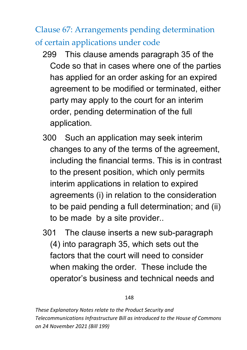Clause 67: Arrangements pending determination of certain applications under code

- 299 This clause amends paragraph 35 of the Code so that in cases where one of the parties has applied for an order asking for an expired agreement to be modified or terminated, either party may apply to the court for an interim order, pending determination of the full application.
- 300 Such an application may seek interim changes to any of the terms of the agreement, including the financial terms. This is in contrast to the present position, which only permits interim applications in relation to expired agreements (i) in relation to the consideration to be paid pending a full determination; and (ii) to be made by a site provider..
- 301 The clause inserts a new sub-paragraph (4) into paragraph 35, which sets out the factors that the court will need to consider when making the order. These include the operator's business and technical needs and

#### 148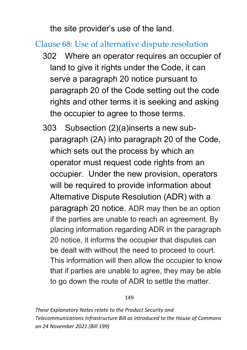the site provider's use of the land.

### Clause 68: Use of alternative dispute resolution

- 302 Where an operator requires an occupier of land to give it rights under the Code, it can serve a paragraph 20 notice pursuant to paragraph 20 of the Code setting out the code rights and other terms it is seeking and asking the occupier to agree to those terms.
- 303 Subsection (2)(a)inserts a new subparagraph (2A) into paragraph 20 of the Code, which sets out the process by which an operator must request code rights from an occupier. Under the new provision, operators will be required to provide information about Alternative Dispute Resolution (ADR) with a paragraph 20 notice. ADR may then be an option if the parties are unable to reach an agreement. By placing information regarding ADR in the paragraph 20 notice, it informs the occupier that disputes can be dealt with without the need to proceed to court. This information will then allow the occupier to know that if parties are unable to agree, they may be able to go down the route of ADR to settle the matter.

#### 149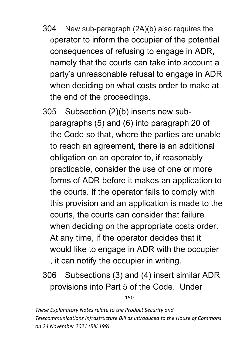- 304 New sub-paragraph (2A)(b) also requires the operator to inform the occupier of the potential consequences of refusing to engage in ADR, namely that the courts can take into account a party's unreasonable refusal to engage in ADR when deciding on what costs order to make at the end of the proceedings.
- 305 Subsection (2)(b) inserts new subparagraphs (5) and (6) into paragraph 20 of the Code so that, where the parties are unable to reach an agreement, there is an additional obligation on an operator to, if reasonably practicable, consider the use of one or more forms of ADR before it makes an application to the courts. If the operator fails to comply with this provision and an application is made to the courts, the courts can consider that failure when deciding on the appropriate costs order. At any time, if the operator decides that it would like to engage in ADR with the occupier , it can notify the occupier in writing.
- 306 Subsections (3) and (4) insert similar ADR provisions into Part 5 of the Code. Under

150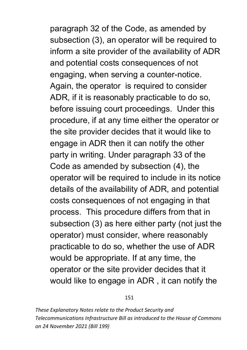paragraph 32 of the Code, as amended by subsection (3), an operator will be required to inform a site provider of the availability of ADR and potential costs consequences of not engaging, when serving a counter-notice. Again, the operator is required to consider ADR, if it is reasonably practicable to do so, before issuing court proceedings. Under this procedure, if at any time either the operator or the site provider decides that it would like to engage in ADR then it can notify the other party in writing. Under paragraph 33 of the Code as amended by subsection (4), the operator will be required to include in its notice details of the availability of ADR, and potential costs consequences of not engaging in that process. This procedure differs from that in subsection (3) as here either party (not just the operator) must consider, where reasonably practicable to do so, whether the use of ADR would be appropriate. If at any time, the operator or the site provider decides that it would like to engage in ADR , it can notify the

#### 151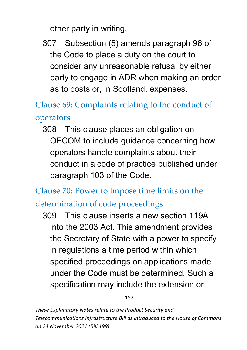other party in writing.

307 Subsection (5) amends paragraph 96 of the Code to place a duty on the court to consider any unreasonable refusal by either party to engage in ADR when making an order as to costs or, in Scotland, expenses.

Clause 69: Complaints relating to the conduct of operators

308 This clause places an obligation on OFCOM to include guidance concerning how operators handle complaints about their conduct in a code of practice published under paragraph 103 of the Code.

Clause 70: Power to impose time limits on the determination of code proceedings

309 This clause inserts a new section 119A into the 2003 Act. This amendment provides the Secretary of State with a power to specify in regulations a time period within which specified proceedings on applications made under the Code must be determined. Such a specification may include the extension or

152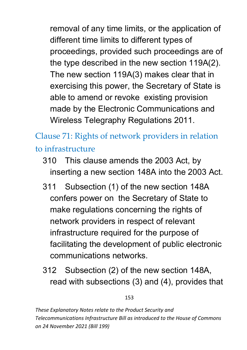removal of any time limits, or the application of different time limits to different types of proceedings, provided such proceedings are of the type described in the new section 119A(2). The new section 119A(3) makes clear that in exercising this power, the Secretary of State is able to amend or revoke existing provision made by the Electronic Communications and Wireless Telegraphy Regulations 2011.

Clause 71: Rights of network providers in relation to infrastructure

- 310 This clause amends the 2003 Act, by inserting a new section 148A into the 2003 Act.
- 311 Subsection (1) of the new section 148A confers power on the Secretary of State to make regulations concerning the rights of network providers in respect of relevant infrastructure required for the purpose of facilitating the development of public electronic communications networks.
- 312 Subsection (2) of the new section 148A, read with subsections (3) and (4), provides that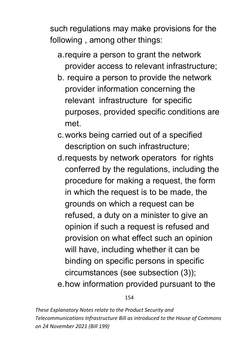such regulations may make provisions for the following , among other things:

- a.require a person to grant the network provider access to relevant infrastructure;
- b. require a person to provide the network provider information concerning the relevant infrastructure for specific purposes, provided specific conditions are met.
- c.works being carried out of a specified description on such infrastructure;
- d.requests by network operators for rights conferred by the regulations, including the procedure for making a request, the form in which the request is to be made, the grounds on which a request can be refused, a duty on a minister to give an opinion if such a request is refused and provision on what effect such an opinion will have, including whether it can be binding on specific persons in specific circumstances (see subsection (3)); e.how information provided pursuant to the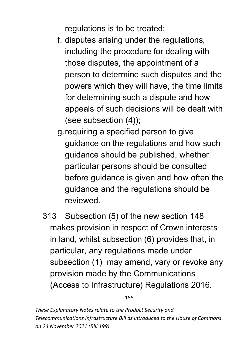regulations is to be treated;

- f. disputes arising under the regulations, including the procedure for dealing with those disputes, the appointment of a person to determine such disputes and the powers which they will have, the time limits for determining such a dispute and how appeals of such decisions will be dealt with (see subsection (4));
- g.requiring a specified person to give guidance on the regulations and how such guidance should be published, whether particular persons should be consulted before guidance is given and how often the guidance and the regulations should be reviewed.
- 313 Subsection (5) of the new section 148 makes provision in respect of Crown interests in land, whilst subsection (6) provides that, in particular, any regulations made under subsection (1) may amend, vary or revoke any provision made by the Communications (Access to Infrastructure) Regulations 2016.

155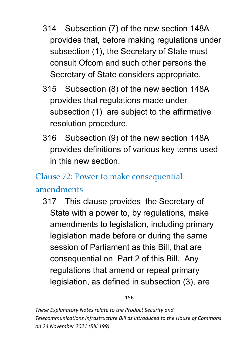- 314 Subsection (7) of the new section 148A provides that, before making regulations under subsection (1), the Secretary of State must consult Ofcom and such other persons the Secretary of State considers appropriate.
- 315 Subsection (8) of the new section 148A provides that regulations made under subsection (1) are subject to the affirmative resolution procedure.
- 316 Subsection (9) of the new section 148A provides definitions of various key terms used in this new section.

## Clause 72: Power to make consequential

### amendments

317 This clause provides the Secretary of State with a power to, by regulations, make amendments to legislation, including primary legislation made before or during the same session of Parliament as this Bill, that are consequential on Part 2 of this Bill. Any regulations that amend or repeal primary legislation, as defined in subsection (3), are

156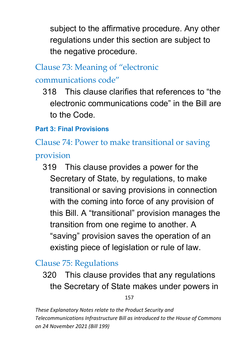subject to the affirmative procedure. Any other regulations under this section are subject to the negative procedure.

# Clause 73: Meaning of "electronic communications code"

318 This clause clarifies that references to "the electronic communications code" in the Bill are to the Code.

### **Part 3: Final Provisions**

Clause 74: Power to make transitional or saving provision

319 This clause provides a power for the Secretary of State, by regulations, to make transitional or saving provisions in connection with the coming into force of any provision of this Bill. A "transitional" provision manages the transition from one regime to another. A "saving" provision saves the operation of an existing piece of legislation or rule of law.

## Clause 75: Regulations

320 This clause provides that any regulations the Secretary of State makes under powers in

157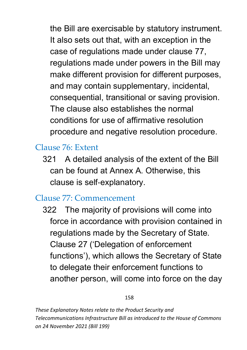the Bill are exercisable by statutory instrument. It also sets out that, with an exception in the case of regulations made under clause 77, regulations made under powers in the Bill may make different provision for different purposes, and may contain supplementary, incidental, consequential, transitional or saving provision. The clause also establishes the normal conditions for use of affirmative resolution procedure and negative resolution procedure.

### Clause 76: Extent

321 A detailed analysis of the extent of the Bill can be found at Annex A. Otherwise, this clause is self‐explanatory.

### Clause 77: Commencement

322 The majority of provisions will come into force in accordance with provision contained in regulations made by the Secretary of State. Clause 27 ('Delegation of enforcement functions'), which allows the Secretary of State to delegate their enforcement functions to another person, will come into force on the day

#### 158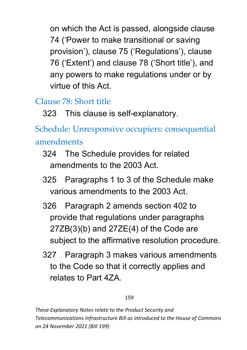on which the Act is passed, alongside clause 74 ('Power to make transitional or saving provision'), clause 75 ('Regulations'), clause 76 ('Extent') and clause 78 ('Short title'), and any powers to make regulations under or by virtue of this Act.

## Clause 78: Short title

323 This clause is self-explanatory.

Schedule: Unresponsive occupiers: consequential amendments

- 324 The Schedule provides for related amendments to the 2003 Act.
- 325 Paragraphs 1 to 3 of the Schedule make various amendments to the 2003 Act.
- 326 Paragraph 2 amends section 402 to provide that regulations under paragraphs  $27ZB(3)(b)$  and  $27ZE(4)$  of the Code are subject to the affirmative resolution procedure.
- 327 Paragraph 3 makes various amendments to the Code so that it correctly applies and relates to Part 4ZA.

#### 159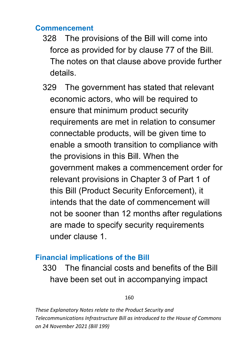### **Commencement**

- 328 The provisions of the Bill will come into force as provided for by clause 77 of the Bill. The notes on that clause above provide further details.
- 329 The government has stated that relevant economic actors, who will be required to ensure that minimum product security requirements are met in relation to consumer connectable products, will be given time to enable a smooth transition to compliance with the provisions in this Bill. When the government makes a commencement order for relevant provisions in Chapter 3 of Part 1 of this Bill (Product Security Enforcement), it intends that the date of commencement will not be sooner than 12 months after regulations are made to specify security requirements under clause 1.

### **Financial implications of the Bill**

330 The financial costs and benefits of the Bill have been set out in accompanying impact

160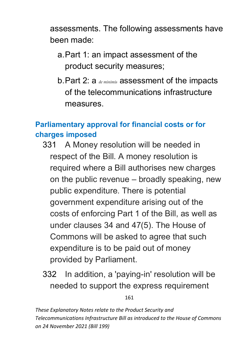assessments. The following assessments have been made:

- a.Part 1: an impact assessment of the product security measures;
- b.Part 2: a *de minimis* assessment of the impacts of the telecommunications infrastructure measures.

### **Parliamentary approval for financial costs or for charges imposed**

- 331 A Money resolution will be needed in respect of the Bill. A money resolution is required where a Bill authorises new charges on the public revenue – broadly speaking, new public expenditure. There is potential government expenditure arising out of the costs of enforcing Part 1 of the Bill, as well as under clauses 34 and 47(5). The House of Commons will be asked to agree that such expenditure is to be paid out of money provided by Parliament.
	- 332 In addition, a 'paying-in' resolution will be needed to support the express requirement

161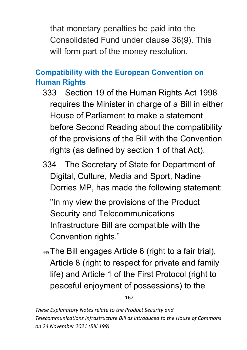that monetary penalties be paid into the Consolidated Fund under clause 36(9). This will form part of the money resolution.

### **Compatibility with the European Convention on Human Rights**

- 333 Section 19 of the Human Rights Act 1998 requires the Minister in charge of a Bill in either House of Parliament to make a statement before Second Reading about the compatibility of the provisions of the Bill with the Convention rights (as defined by section 1 of that Act).
- 334 The Secretary of State for Department of Digital, Culture, Media and Sport, Nadine Dorries MP, has made the following statement:

"In my view the provisions of the Product Security and Telecommunications Infrastructure Bill are compatible with the Convention rights."

335 The Bill engages Article 6 (right to a fair trial), Article 8 (right to respect for private and family life) and Article 1 of the First Protocol (right to peaceful enjoyment of possessions) to the

162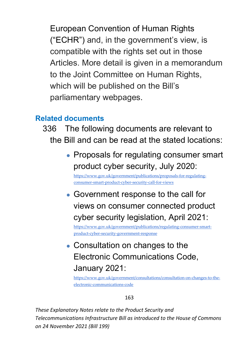European Convention of Human Rights ("ECHR") and, in the government's view, is compatible with the rights set out in those Articles. More detail is given in a memorandum to the Joint Committee on Human Rights, which will be published on the Bill's parliamentary webpages.

### **Related documents**

- 336 The following documents are relevant to the Bill and can be read at the stated locations:
	- Proposals for regulating consumer smart product cyber security, July 2020: [https://www.gov.uk/government/publications/proposals-for-regulating](https://www.gov.uk/government/publications/proposals-for-regulating-consumer-smart-product-cyber-security-call-for-views)[consumer-smart-product-cyber-security-call-for-views](https://www.gov.uk/government/publications/proposals-for-regulating-consumer-smart-product-cyber-security-call-for-views)
	- Government response to the call for views on consumer connected product cyber security legislation, April 2021:

[https://www.gov.uk/government/publications/regulating-consumer-smart](https://www.gov.uk/government/publications/regulating-consumer-smart-product-cyber-security-government-response)[product-cyber-security-government-response](https://www.gov.uk/government/publications/regulating-consumer-smart-product-cyber-security-government-response)

# • Consultation on changes to the Electronic Communications Code, January 2021:

[https://www.gov.uk/government/consultations/consultation-on-changes-to-the](https://www.gov.uk/government/consultations/consultation-on-changes-to-the-electronic-communications-code)[electronic-communications-code](https://www.gov.uk/government/consultations/consultation-on-changes-to-the-electronic-communications-code)

#### 163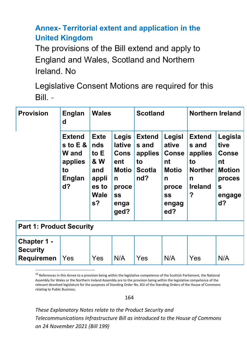### **Annex- Territorial extent and application in the United Kingdom**

The provisions of the Bill extend and apply to England and Wales, Scotland and Northern Ireland. No

Legislative Consent Motions are required for this  $Bill<sub>15</sub>$  $Bill<sub>15</sub>$  $Bill<sub>15</sub>$ 

| <b>Provision</b>                                    | <b>Englan</b><br>d                                                                     | <b>Wales</b>                                                                                                    |                                                                                                         | <b>Scotland</b>                                                 |                                                                                                  | <b>Northern Ireland</b>                                                               |                                                                                                     |  |  |
|-----------------------------------------------------|----------------------------------------------------------------------------------------|-----------------------------------------------------------------------------------------------------------------|---------------------------------------------------------------------------------------------------------|-----------------------------------------------------------------|--------------------------------------------------------------------------------------------------|---------------------------------------------------------------------------------------|-----------------------------------------------------------------------------------------------------|--|--|
|                                                     | <b>Extend</b><br>s to $E$ &<br><b>W</b> and<br>applies<br>to<br><b>Englan</b><br>$d$ ? | <b>Exte</b><br><b>nds</b><br>to $E$<br><b>&amp; W</b><br>and<br>appli<br>es to<br><b>Wale</b><br>s <sub>2</sub> | <b>Legis</b><br><b>lative</b><br><b>Cons</b><br>ent<br>Motio<br>n<br>proce<br><b>SS</b><br>enga<br>ged? | <b>Extend</b><br>s and<br>applies<br>to<br><b>Scotla</b><br>nd? | Legisl<br>ative<br><b>Conse</b><br>nt<br><b>Motio</b><br>n<br>proce<br><b>SS</b><br>engag<br>ed? | <b>Extend</b><br>s and<br>applies<br>to<br><b>Norther</b><br>n<br><b>Ireland</b><br>? | Legisla<br>tive<br><b>Conse</b><br>nt<br><b>Motion</b><br>proces<br>$\mathbf{s}$<br>engage<br>$d$ ? |  |  |
| <b>Part 1: Product Security</b>                     |                                                                                        |                                                                                                                 |                                                                                                         |                                                                 |                                                                                                  |                                                                                       |                                                                                                     |  |  |
| Chapter 1 -<br><b>Security</b><br><b>Requiremen</b> | Yes                                                                                    | Yes                                                                                                             | N/A                                                                                                     | Yes                                                             | N/A                                                                                              | Yes                                                                                   | N/A                                                                                                 |  |  |

<span id="page-164-0"></span><sup>15</sup> References in this Annex to a provision being within the legislative competence of the Scottish Parliament, the National Assembly for Wales or the Northern Ireland Assembly are to the provision being within the legislative competence of the relevant devolved legislature for the purposes of Standing Order No. 83J of the Standing Orders of the House of Commons relating to Public Business.

164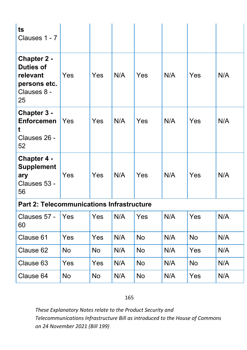| ts<br>Clauses 1 - 7                                                                     |           |     |     |           |     |           |     |  |
|-----------------------------------------------------------------------------------------|-----------|-----|-----|-----------|-----|-----------|-----|--|
| <b>Chapter 2 -</b><br><b>Duties of</b><br>relevant<br>persons etc.<br>Clauses 8 -<br>25 | Yes       | Yes | N/A | Yes       | N/A | Yes       | N/A |  |
| <b>Chapter 3 -</b><br><b>Enforcemen</b><br>Clauses 26 -<br>52                           | Yes       | Yes | N/A | Yes       | N/A | Yes       | N/A |  |
| <b>Chapter 4 -</b><br><b>Supplement</b><br>ary<br>Clauses 53 -<br>56                    | Yes       | Yes | N/A | Yes       | N/A | Yes       | N/A |  |
| <b>Part 2: Telecommunications Infrastructure</b>                                        |           |     |     |           |     |           |     |  |
| Clauses 57 -<br>60                                                                      | Yes       | Yes | N/A | Yes       | N/A | Yes       | N/A |  |
| Clause 61                                                                               | Yes       | Yes | N/A | <b>No</b> | N/A | <b>No</b> | N/A |  |
| Clause 62                                                                               | <b>No</b> | No  | N/A | <b>No</b> | N/A | Yes       | N/A |  |
| Clause 63                                                                               | Yes       | Yes | N/A | <b>No</b> | N/A | <b>No</b> | N/A |  |
| Clause 64                                                                               | <b>No</b> | No  | N/A | <b>No</b> | N/A | Yes       | N/A |  |

#### 165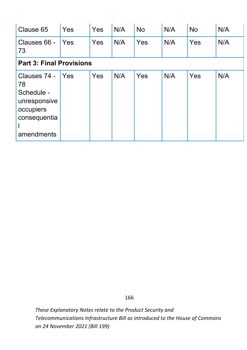| Clause 65                                                                                   | Yes        | Yes        | N/A | <b>No</b> | N/A | <b>No</b> | N/A |  |  |
|---------------------------------------------------------------------------------------------|------------|------------|-----|-----------|-----|-----------|-----|--|--|
| Clauses 66 -<br>73                                                                          | <b>Yes</b> | Yes        | N/A | Yes       | N/A | Yes       | N/A |  |  |
| <b>Part 3: Final Provisions</b>                                                             |            |            |     |           |     |           |     |  |  |
| Clauses 74 -<br>78<br>Schedule -<br>unresponsive<br>occupiers<br>consequentia<br>amendments | <b>Yes</b> | <b>Yes</b> | N/A | Yes       | N/A | Yes       | N/A |  |  |